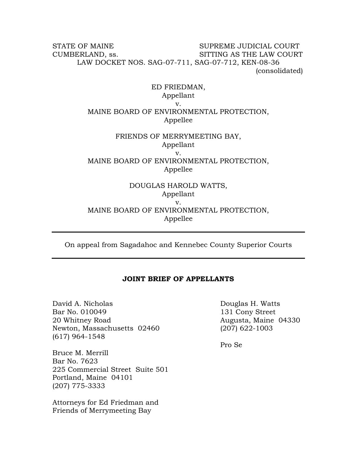## STATE OF MAINE SUPREME JUDICIAL COURT CUMBERLAND, ss. SITTING AS THE LAW COURT LAW DOCKET NOS. SAG-07-711, SAG-07-712, KEN-08-36 (consolidated)

# ED FRIEDMAN, Appellant v. MAINE BOARD OF ENVIRONMENTAL PROTECTION, Appellee

## FRIENDS OF MERRYMEETING BAY, Appellant v. MAINE BOARD OF ENVIRONMENTAL PROTECTION, Appellee

## DOUGLAS HAROLD WATTS, Appellant v. MAINE BOARD OF ENVIRONMENTAL PROTECTION, Appellee

On appeal from Sagadahoc and Kennebec County Superior Courts

## **JOINT BRIEF OF APPELLANTS**

David A. Nicholas **Douglas H. Watts** Bar No. 010049 131 Cony Street 20 Whitney Road 20 Whitney Road 20 Whitney Road 20 Whitney Road 20 Muslim Road 20 Muslim Road 20 Muslim Road 2 Newton, Massachusetts 02460 (207) 622-1003 (617) 964-1548

Bruce M. Merrill Bar No. 7623 225 Commercial Street Suite 501 Portland, Maine 04101 (207) 775-3333

Attorneys for Ed Friedman and Friends of Merrymeeting Bay

Pro Se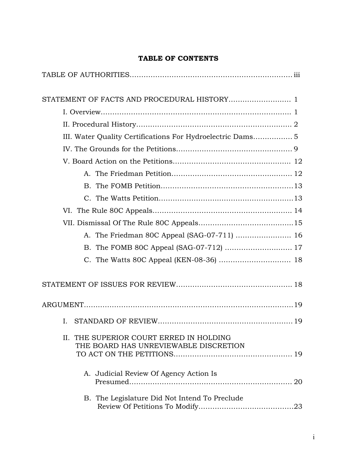# **TABLE OF CONTENTS**

| III. Water Quality Certifications For Hydroelectric Dams 5                       |  |
|----------------------------------------------------------------------------------|--|
|                                                                                  |  |
|                                                                                  |  |
|                                                                                  |  |
|                                                                                  |  |
|                                                                                  |  |
|                                                                                  |  |
|                                                                                  |  |
|                                                                                  |  |
|                                                                                  |  |
|                                                                                  |  |
|                                                                                  |  |
|                                                                                  |  |
|                                                                                  |  |
| L                                                                                |  |
| II. THE SUPERIOR COURT ERRED IN HOLDING<br>THE BOARD HAS UNREVIEWABLE DISCRETION |  |
| A. Judicial Review Of Agency Action Is                                           |  |
| B. The Legislature Did Not Intend To Preclude                                    |  |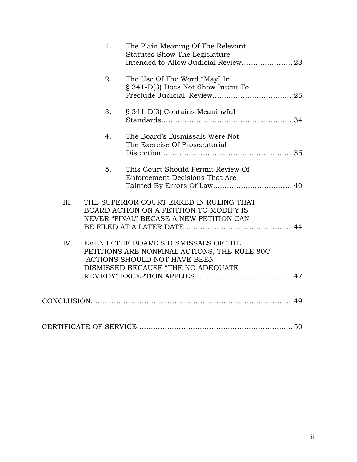|      | 1. | The Plain Meaning Of The Relevant<br>Statutes Show The Legislature<br>Intended to Allow Judicial Review 23                                                  |  |
|------|----|-------------------------------------------------------------------------------------------------------------------------------------------------------------|--|
|      | 2. | The Use Of The Word "May" In<br>§ 341-D(3) Does Not Show Intent To                                                                                          |  |
|      | 3. | § 341-D(3) Contains Meaningful                                                                                                                              |  |
|      | 4. | The Board's Dismissals Were Not<br>The Exercise Of Prosecutorial                                                                                            |  |
|      | 5. | This Court Should Permit Review Of<br><b>Enforcement Decisions That Are</b>                                                                                 |  |
| III. |    | THE SUPERIOR COURT ERRED IN RULING THAT<br>BOARD ACTION ON A PETITION TO MODIFY IS<br>NEVER "FINAL" BECASE A NEW PETITION CAN                               |  |
| IV.  |    | EVEN IF THE BOARD'S DISMISSALS OF THE<br>PETITIONS ARE NONFINAL ACTIONS, THE RULE 80C<br>ACTIONS SHOULD NOT HAVE BEEN<br>DISMISSED BECAUSE "THE NO ADEQUATE |  |
|      |    |                                                                                                                                                             |  |
|      |    |                                                                                                                                                             |  |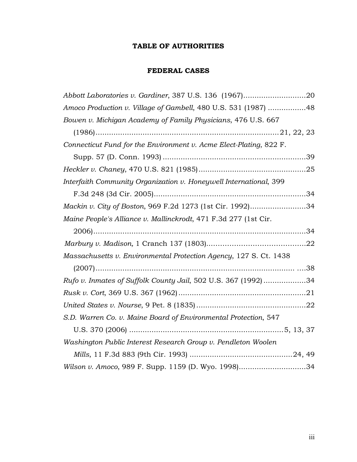# **TABLE OF AUTHORITIES**

# **FEDERAL CASES**

| Amoco Production v. Village of Gambell, 480 U.S. 531 (1987) 48     |
|--------------------------------------------------------------------|
| Bowen v. Michigan Academy of Family Physicians, 476 U.S. 667       |
|                                                                    |
| Connecticut Fund for the Environment v. Acme Elect-Plating, 822 F. |
|                                                                    |
|                                                                    |
| Interfaith Community Organization v. Honeywell International, 399  |
|                                                                    |
| Mackin v. City of Boston, 969 F.2d 1273 (1st Cir. 1992)34          |
| Maine People's Alliance v. Mallinckrodt, 471 F.3d 277 (1st Cir.    |
|                                                                    |
|                                                                    |
| Massachusetts v. Environmental Protection Agency, 127 S. Ct. 1438  |
|                                                                    |
| Rufo v. Inmates of Suffolk County Jail, 502 U.S. 367 (1992)34      |
|                                                                    |
|                                                                    |
| S.D. Warren Co. v. Maine Board of Environmental Protection, 547    |
|                                                                    |
| Washington Public Interest Research Group v. Pendleton Woolen      |
|                                                                    |
| Wilson v. Amoco, 989 F. Supp. 1159 (D. Wyo. 1998)34                |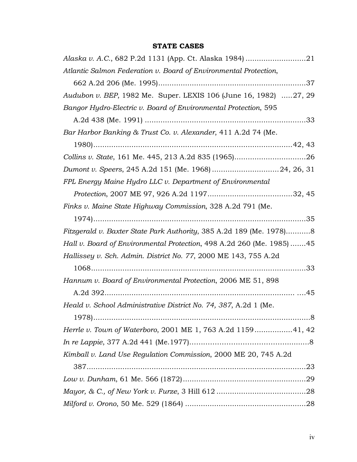# **STATE CASES**

| Atlantic Salmon Federation v. Board of Environmental Protection,      |  |
|-----------------------------------------------------------------------|--|
|                                                                       |  |
| Audubon v. BEP, 1982 Me. Super. LEXIS 106 (June 16, 1982) 27, 29      |  |
| Bangor Hydro-Electric v. Board of Environmental Protection, 595       |  |
|                                                                       |  |
| Bar Harbor Banking & Trust Co. v. Alexander, 411 A.2d 74 (Me.         |  |
|                                                                       |  |
|                                                                       |  |
|                                                                       |  |
| FPL Energy Maine Hydro LLC v. Department of Environmental             |  |
|                                                                       |  |
| Finks v. Maine State Highway Commission, 328 A.2d 791 (Me.            |  |
|                                                                       |  |
| Fitzgerald v. Baxter State Park Authority, 385 A.2d 189 (Me. 1978)8   |  |
| Hall v. Board of Environmental Protection, 498 A.2d 260 (Me. 1985) 45 |  |
| Hallissey v. Sch. Admin. District No. 77, 2000 ME 143, 755 A.2d       |  |
|                                                                       |  |
| Hannum v. Board of Environmental Protection, 2006 ME 51, 898          |  |
|                                                                       |  |
| Heald v. School Administrative District No. 74, 387, A.2d 1 (Me.      |  |
|                                                                       |  |
| Herrle v. Town of Waterboro, 2001 ME 1, 763 A.2d 115941, 42           |  |
|                                                                       |  |
| Kimball v. Land Use Regulation Commission, 2000 ME 20, 745 A.2d       |  |
|                                                                       |  |
|                                                                       |  |
|                                                                       |  |
|                                                                       |  |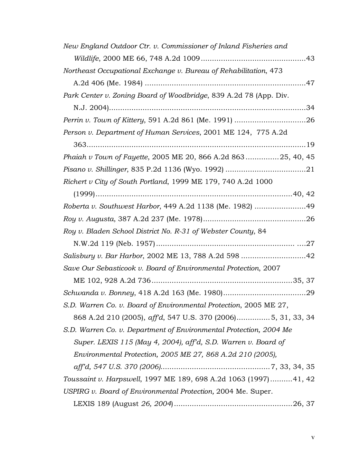| New England Outdoor Ctr. v. Commissioner of Inland Fisheries and   |
|--------------------------------------------------------------------|
|                                                                    |
| Northeast Occupational Exchange v. Bureau of Rehabilitation, 473   |
|                                                                    |
| Park Center v. Zoning Board of Woodbridge, 839 A.2d 78 (App. Div.  |
|                                                                    |
|                                                                    |
| Person v. Department of Human Services, 2001 ME 124, 775 A.2d      |
|                                                                    |
| Phaiah v Town of Fayette, 2005 ME 20, 866 A.2d 86325, 40, 45       |
|                                                                    |
| Richert v City of South Portland, 1999 ME 179, 740 A.2d 1000       |
|                                                                    |
| Roberta v. Southwest Harbor, 449 A.2d 1138 (Me. 1982) 49           |
|                                                                    |
| Roy v. Bladen School District No. R-31 of Webster County, 84       |
|                                                                    |
|                                                                    |
| Save Our Sebasticook v. Board of Environmental Protection, 2007    |
|                                                                    |
|                                                                    |
| S.D. Warren Co. v. Board of Environmental Protection, 2005 ME 27,  |
| 868 A.2d 210 (2005), affd, 547 U.S. 370 (2006)5, 31, 33, 34        |
| S.D. Warren Co. v. Department of Environmental Protection, 2004 Me |
| Super. LEXIS 115 (May 4, 2004), aff'd, S.D. Warren v. Board of     |
| Environmental Protection, 2005 ME 27, 868 A.2d 210 (2005),         |
|                                                                    |
| Toussaint v. Harpswell, 1997 ME 189, 698 A.2d 1063 (1997)41, 42    |
| USPIRG v. Board of Environmental Protection, 2004 Me. Super.       |
|                                                                    |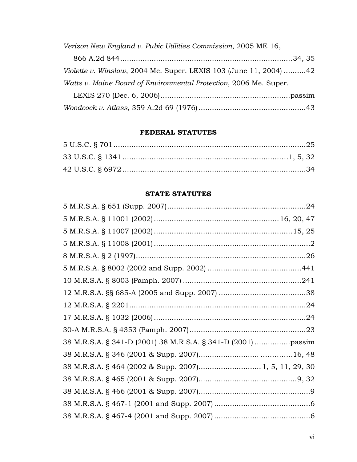*Verizon New England v. Pubic Utilities Commission*, 2005 ME 16, 866 A.2d 844.............................................................................34, 35 *Violette v. Winslow*, 2004 Me. Super. LEXIS 103 (June 11, 2004) ..........42 *Watts v. Maine Board of Environmental Protection*, 2006 Me. Super. LEXIS 270 (Dec. 6, 2006)..........................................................passim

*Woodcock v. Atlass*, 359 A.2d 69 (1976)................................................43

## **FEDERAL STATUTES**

## **STATE STATUTES**

| 38 M.R.S.A. § 464 (2002 & Supp. 2007) 1, 5, 11, 29, 30 |
|--------------------------------------------------------|
|                                                        |
|                                                        |
|                                                        |
|                                                        |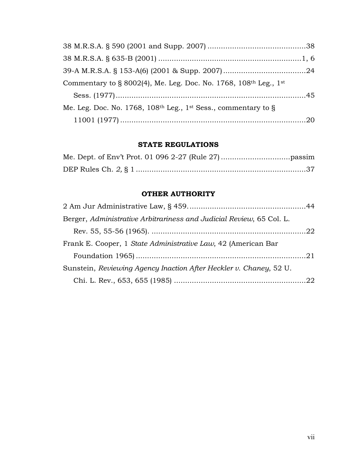| Commentary to § 8002(4), Me. Leg. Doc. No. 1768, 108th Leg., 1st |  |
|------------------------------------------------------------------|--|
|                                                                  |  |
| Me. Leg. Doc. No. 1768, 108th Leg., 1st Sess., commentary to §   |  |
|                                                                  |  |

# **STATE REGULATIONS**

# **OTHER AUTHORITY**

| Berger, Administrative Arbitrariness and Judicial Review, 65 Col. L. |  |
|----------------------------------------------------------------------|--|
|                                                                      |  |
| Frank E. Cooper, 1 State Administrative Law, 42 (American Bar        |  |
|                                                                      |  |
| Sunstein, Reviewing Agency Inaction After Heckler v. Chaney, 52 U.   |  |
|                                                                      |  |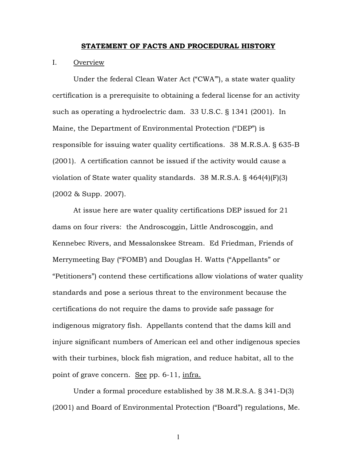#### **STATEMENT OF FACTS AND PROCEDURAL HISTORY**

### I. Overview

Under the federal Clean Water Act ("CWA'"), a state water quality certification is a prerequisite to obtaining a federal license for an activity such as operating a hydroelectric dam. 33 U.S.C. § 1341 (2001). In Maine, the Department of Environmental Protection ("DEP") is responsible for issuing water quality certifications. 38 M.R.S.A. § 635-B (2001). A certification cannot be issued if the activity would cause a violation of State water quality standards. 38 M.R.S.A. § 464(4)(F)(3) (2002 & Supp. 2007).

At issue here are water quality certifications DEP issued for 21 dams on four rivers: the Androscoggin, Little Androscoggin, and Kennebec Rivers, and Messalonskee Stream. Ed Friedman, Friends of Merrymeeting Bay ("FOMB') and Douglas H. Watts ("Appellants" or "Petitioners") contend these certifications allow violations of water quality standards and pose a serious threat to the environment because the certifications do not require the dams to provide safe passage for indigenous migratory fish. Appellants contend that the dams kill and injure significant numbers of American eel and other indigenous species with their turbines, block fish migration, and reduce habitat, all to the point of grave concern. See pp. 6-11, infra.

Under a formal procedure established by 38 M.R.S.A. § 341-D(3) (2001) and Board of Environmental Protection ("Board") regulations, Me.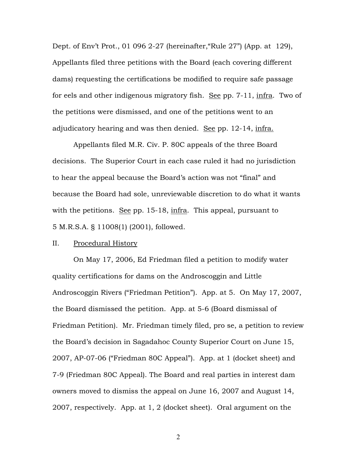Dept. of Env't Prot., 01 096 2-27 (hereinafter,"Rule 27") (App. at 129), Appellants filed three petitions with the Board (each covering different dams) requesting the certifications be modified to require safe passage for eels and other indigenous migratory fish. See pp. 7-11, infra. Two of the petitions were dismissed, and one of the petitions went to an adjudicatory hearing and was then denied. See pp. 12-14, infra.

Appellants filed M.R. Civ. P. 80C appeals of the three Board decisions. The Superior Court in each case ruled it had no jurisdiction to hear the appeal because the Board's action was not "final" and because the Board had sole, unreviewable discretion to do what it wants with the petitions. See pp. 15-18, infra. This appeal, pursuant to 5 M.R.S.A. § 11008(1) (2001), followed.

#### II. Procedural History

On May 17, 2006, Ed Friedman filed a petition to modify water quality certifications for dams on the Androscoggin and Little Androscoggin Rivers ("Friedman Petition"). App. at 5. On May 17, 2007, the Board dismissed the petition. App. at 5-6 (Board dismissal of Friedman Petition). Mr. Friedman timely filed, pro se, a petition to review the Board's decision in Sagadahoc County Superior Court on June 15, 2007, AP-07-06 ("Friedman 80C Appeal"). App. at 1 (docket sheet) and 7-9 (Friedman 80C Appeal). The Board and real parties in interest dam owners moved to dismiss the appeal on June 16, 2007 and August 14, 2007, respectively. App. at 1, 2 (docket sheet). Oral argument on the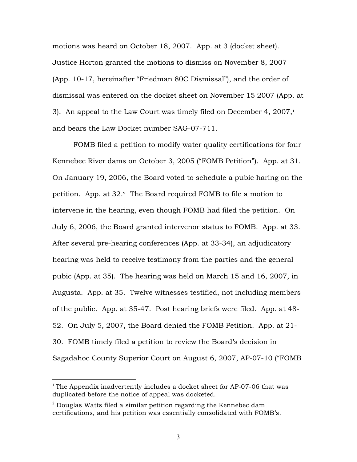motions was heard on October 18, 2007. App. at 3 (docket sheet). Justice Horton granted the motions to dismiss on November 8, 2007 (App. 10-17, hereinafter "Friedman 80C Dismissal"), and the order of dismissal was entered on the docket sheet on November 15 2007 (App. at 3). An appeal to the Law Court was timely filed on December 4,  $2007<sup>1</sup>$ and bears the Law Docket number SAG-07-711.

FOMB filed a petition to modify water quality certifications for four Kennebec River dams on October 3, 2005 ("FOMB Petition"). App. at 31. On January 19, 2006, the Board voted to schedule a pubic haring on the petition. App. at 32.2 The Board required FOMB to file a motion to intervene in the hearing, even though FOMB had filed the petition. On July 6, 2006, the Board granted intervenor status to FOMB. App. at 33. After several pre-hearing conferences (App. at 33-34), an adjudicatory hearing was held to receive testimony from the parties and the general pubic (App. at 35). The hearing was held on March 15 and 16, 2007, in Augusta. App. at 35. Twelve witnesses testified, not including members of the public. App. at 35-47. Post hearing briefs were filed. App. at 48- 52. On July 5, 2007, the Board denied the FOMB Petition. App. at 21- 30. FOMB timely filed a petition to review the Board's decision in Sagadahoc County Superior Court on August 6, 2007, AP-07-10 ("FOMB

<sup>&</sup>lt;sup>1</sup> The Appendix inadvertently includes a docket sheet for AP-07-06 that was duplicated before the notice of appeal was docketed.

 $^2$  Douglas Watts filed a similar petition regarding the Kennebec dam certifications, and his petition was essentially consolidated with FOMB's.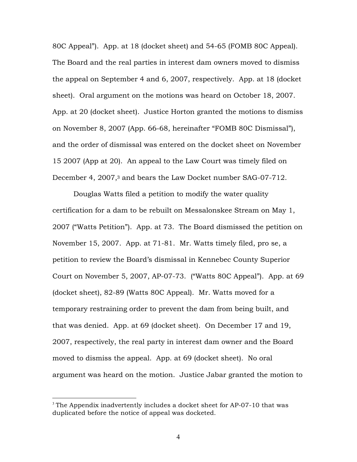80C Appeal"). App. at 18 (docket sheet) and 54-65 (FOMB 80C Appeal). The Board and the real parties in interest dam owners moved to dismiss the appeal on September 4 and 6, 2007, respectively. App. at 18 (docket sheet). Oral argument on the motions was heard on October 18, 2007. App. at 20 (docket sheet). Justice Horton granted the motions to dismiss on November 8, 2007 (App. 66-68, hereinafter "FOMB 80C Dismissal"), and the order of dismissal was entered on the docket sheet on November 15 2007 (App at 20). An appeal to the Law Court was timely filed on December 4, 2007,3 and bears the Law Docket number SAG-07-712.

Douglas Watts filed a petition to modify the water quality certification for a dam to be rebuilt on Messalonskee Stream on May 1, 2007 ("Watts Petition"). App. at 73. The Board dismissed the petition on November 15, 2007. App. at 71-81. Mr. Watts timely filed, pro se, a petition to review the Board's dismissal in Kennebec County Superior Court on November 5, 2007, AP-07-73. ("Watts 80C Appeal"). App. at 69 (docket sheet), 82-89 (Watts 80C Appeal). Mr. Watts moved for a temporary restraining order to prevent the dam from being built, and that was denied. App. at 69 (docket sheet). On December 17 and 19, 2007, respectively, the real party in interest dam owner and the Board moved to dismiss the appeal. App. at 69 (docket sheet). No oral argument was heard on the motion. Justice Jabar granted the motion to

<sup>&</sup>lt;sup>3</sup> The Appendix inadvertently includes a docket sheet for  $AP-07-10$  that was duplicated before the notice of appeal was docketed.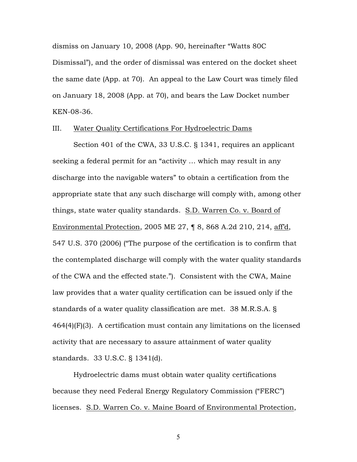dismiss on January 10, 2008 (App. 90, hereinafter "Watts 80C Dismissal"), and the order of dismissal was entered on the docket sheet the same date (App. at 70). An appeal to the Law Court was timely filed on January 18, 2008 (App. at 70), and bears the Law Docket number KEN-08-36.

#### III. Water Quality Certifications For Hydroelectric Dams

Section 401 of the CWA, 33 U.S.C. § 1341, requires an applicant seeking a federal permit for an "activity … which may result in any discharge into the navigable waters" to obtain a certification from the appropriate state that any such discharge will comply with, among other things, state water quality standards. S.D. Warren Co. v. Board of Environmental Protection, 2005 ME 27, ¶ 8, 868 A.2d 210, 214, aff'd, 547 U.S. 370 (2006) ("The purpose of the certification is to confirm that the contemplated discharge will comply with the water quality standards of the CWA and the effected state."). Consistent with the CWA, Maine law provides that a water quality certification can be issued only if the standards of a water quality classification are met. 38 M.R.S.A. § 464(4)(F)(3). A certification must contain any limitations on the licensed activity that are necessary to assure attainment of water quality standards. 33 U.S.C. § 1341(d).

Hydroelectric dams must obtain water quality certifications because they need Federal Energy Regulatory Commission ("FERC") licenses. S.D. Warren Co. v. Maine Board of Environmental Protection,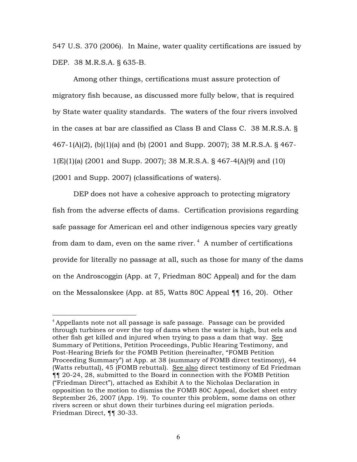547 U.S. 370 (2006). In Maine, water quality certifications are issued by DEP. 38 M.R.S.A. § 635-B.

Among other things, certifications must assure protection of migratory fish because, as discussed more fully below, that is required by State water quality standards. The waters of the four rivers involved in the cases at bar are classified as Class B and Class C. 38 M.R.S.A. § 467-1(A)(2), (b)(1)(a) and (b) (2001 and Supp. 2007); 38 M.R.S.A. § 467- 1(E)(1)(a) (2001 and Supp. 2007); 38 M.R.S.A. § 467-4(A)(9) and (10) (2001 and Supp. 2007) (classifications of waters).

DEP does not have a cohesive approach to protecting migratory fish from the adverse effects of dams. Certification provisions regarding safe passage for American eel and other indigenous species vary greatly from dam to dam, even on the same river.  $^4\,$  A number of certifications provide for literally no passage at all, such as those for many of the dams on the Androscoggin (App. at 7, Friedman 80C Appeal) and for the dam on the Messalonskee (App. at 85, Watts 80C Appeal ¶¶ 16, 20).Other

 $4$  Appellants note not all passage is safe passage. Passage can be provided through turbines or over the top of dams when the water is high, but eels and other fish get killed and injured when trying to pass a dam that way. See Summary of Petitions, Petition Proceedings, Public Hearing Testimony, and Post-Hearing Briefs for the FOMB Petition (hereinafter, "FOMB Petition Proceeding Summary") at App. at 38 (summary of FOMB direct testimony), 44 (Watts rebuttal), 45 (FOMB rebuttal). See also direct testimony of Ed Friedman ¶¶ 20-24, 28, submitted to the Board in connection with the FOMB Petition ("Friedman Direct"), attached as Exhibit A to the Nicholas Declaration in opposition to the motion to dismiss the FOMB 80C Appeal, docket sheet entry September 26, 2007 (App. 19). To counter this problem, some dams on other rivers screen or shut down their turbines during eel migration periods. Friedman Direct, ¶¶ 30-33.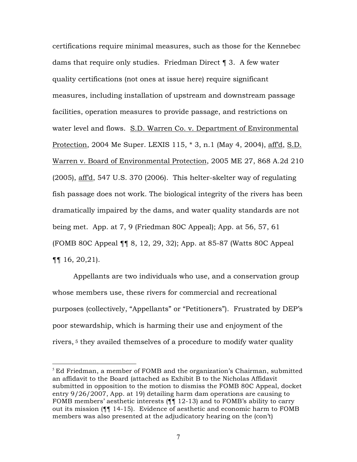certifications require minimal measures, such as those for the Kennebec dams that require only studies. Friedman Direct ¶ 3. A few water quality certifications (not ones at issue here) require significant measures, including installation of upstream and downstream passage facilities, operation measures to provide passage, and restrictions on water level and flows. S.D. Warren Co. v. Department of Environmental Protection, 2004 Me Super. LEXIS 115, \* 3, n.1 (May 4, 2004), aff'd, S.D. Warren v. Board of Environmental Protection, 2005 ME 27, 868 A.2d 210 (2005), aff'd, 547 U.S. 370 (2006). This helter-skelter way of regulating fish passage does not work. The biological integrity of the rivers has been dramatically impaired by the dams, and water quality standards are not being met. App. at 7, 9 (Friedman 80C Appeal); App. at 56, 57, 61 (FOMB 80C Appeal ¶¶ 8, 12, 29, 32); App. at 85-87 (Watts 80C Appeal ¶¶ 16, 20,21).

Appellants are two individuals who use, and a conservation group whose members use, these rivers for commercial and recreational purposes (collectively, "Appellants" or "Petitioners"). Frustrated by DEP's poor stewardship, which is harming their use and enjoyment of the rivers, <sup>5</sup> they availed themselves of a procedure to modify water quality

 $5$  Ed Friedman, a member of FOMB and the organization's Chairman, submitted an affidavit to the Board (attached as Exhibit B to the Nicholas Affidavit submitted in opposition to the motion to dismiss the FOMB 80C Appeal, docket entry 9/26/2007, App. at 19) detailing harm dam operations are causing to FOMB members' aesthetic interests (¶¶ 12-13) and to FOMB's ability to carry out its mission (¶¶ 14-15). Evidence of aesthetic and economic harm to FOMB members was also presented at the adjudicatory hearing on the (con't)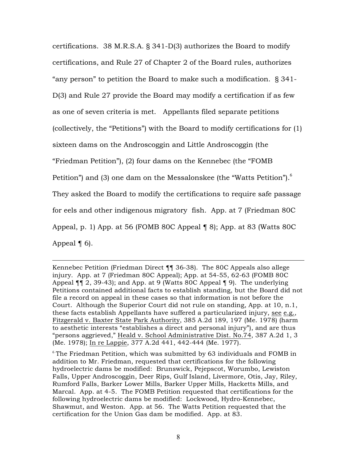certifications. 38 M.R.S.A. § 341-D(3) authorizes the Board to modify certifications, and Rule 27 of Chapter 2 of the Board rules, authorizes "any person" to petition the Board to make such a modification. § 341- D(3) and Rule 27 provide the Board may modify a certification if as few as one of seven criteria is met. Appellants filed separate petitions (collectively, the "Petitions") with the Board to modify certifications for (1) sixteen dams on the Androscoggin and Little Androscoggin (the "Friedman Petition"), (2) four dams on the Kennebec (the "FOMB Petition") and (3) one dam on the Messalonskee (the "Watts Petition"). $^6$ They asked the Board to modify the certifications to require safe passage for eels and other indigenous migratory fish. App. at 7 (Friedman 80C Appeal, p. 1) App. at 56 (FOMB 80C Appeal ¶ 8); App. at 83 (Watts 80C Appeal  $\P$  6).

 $\overline{a}$ 

Kennebec Petition (Friedman Direct ¶¶ 36-38). The 80C Appeals also allege injury. App. at 7 (Friedman 80C Appeal); App. at 54-55, 62-63 (FOMB 80C Appeal ¶¶ 2, 39-43); and App. at 9 (Watts 80C Appeal ¶ 9). The underlying Petitions contained additional facts to establish standing, but the Board did not file a record on appeal in these cases so that information is not before the Court. Although the Superior Court did not rule on standing, App. at 10, n.1, these facts establish Appellants have suffered a particularized injury, see e.g., Fitzgerald v. Baxter State Park Authority, 385 A.2d 189, 197 (Me. 1978) (harm to aesthetic interests "establishes a direct and personal injury"), and are thus "persons aggrieved," Heald v. School Administrative Dist. No.74, 387 A.2d 1, 3 (Me. 1978); In re Lappie, 377 A.2d 441, 442-444 (Me. 1977).

 $6$  The Friedman Petition, which was submitted by 63 individuals and FOMB in addition to Mr. Friedman, requested that certifications for the following hydroelectric dams be modified: Brunswick, Pejepscot, Worumbo, Lewiston Falls, Upper Androscoggin, Deer Rips, Gulf Island, Livermore, Otis, Jay, Riley, Rumford Falls, Barker Lower Mills, Barker Upper Mills, Hacketts Mills, and Marcal. App. at 4-5. The FOMB Petition requested that certifications for the following hydroelectric dams be modified: Lockwood, Hydro-Kennebec, Shawmut, and Weston. App. at 56. The Watts Petition requested that the certification for the Union Gas dam be modified. App. at 83.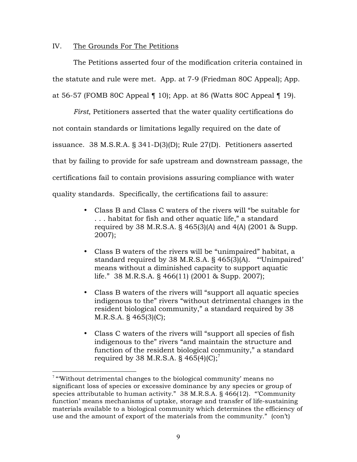### IV. The Grounds For The Petitions

The Petitions asserted four of the modification criteria contained in the statute and rule were met. App. at 7-9 (Friedman 80C Appeal); App. at 56-57 (FOMB 80C Appeal ¶ 10); App. at 86 (Watts 80C Appeal ¶ 19).

*First*, Petitioners asserted that the water quality certifications do not contain standards or limitations legally required on the date of issuance. 38 M.S.R.A. § 341-D(3)(D); Rule 27(D). Petitioners asserted that by failing to provide for safe upstream and downstream passage, the certifications fail to contain provisions assuring compliance with water quality standards. Specifically, the certifications fail to assure:

- Class B and Class C waters of the rivers will "be suitable for . . . habitat for fish and other aquatic life," a standard required by 38 M.R.S.A. § 465(3)(A) and 4(A) (2001 & Supp. 2007);
- Class B waters of the rivers will be "unimpaired" habitat, a standard required by 38 M.R.S.A. § 465(3)(A). "'Unimpaired' means without a diminished capacity to support aquatic life." 38 M.R.S.A. § 466(11) (2001 & Supp. 2007);
- Class B waters of the rivers will "support all aquatic species indigenous to the" rivers "without detrimental changes in the resident biological community," a standard required by 38 M.R.S.A. § 465(3)(C);
- Class C waters of the rivers will "support all species of fish indigenous to the" rivers "and maintain the structure and function of the resident biological community," a standard required by 38 M.R.S.A.  $\S$  465(4)(C);<sup>7</sup>

 $7$  "Without detrimental changes to the biological community' means no significant loss of species or excessive dominance by any species or group of species attributable to human activity." 38 M.R.S.A. § 466(12). "'Community function' means mechanisms of uptake, storage and transfer of life-sustaining materials available to a biological community which determines the efficiency of use and the amount of export of the materials from the community." (con't)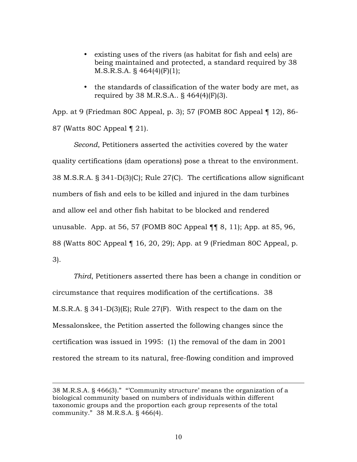- existing uses of the rivers (as habitat for fish and eels) are being maintained and protected, a standard required by 38 M.S.R.S.A. § 464(4)(F)(1);
- the standards of classification of the water body are met, as required by 38 M.R.S.A.. § 464(4)(F)(3).

App. at 9 (Friedman 80C Appeal, p. 3); 57 (FOMB 80C Appeal ¶ 12), 86- 87 (Watts 80C Appeal ¶ 21).

*Second*, Petitioners asserted the activities covered by the water quality certifications (dam operations) pose a threat to the environment. 38 M.S.R.A. § 341-D(3)(C); Rule 27(C). The certifications allow significant numbers of fish and eels to be killed and injured in the dam turbines and allow eel and other fish habitat to be blocked and rendered unusable. App. at 56, 57 (FOMB 80C Appeal ¶¶ 8, 11); App. at 85, 96, 88 (Watts 80C Appeal ¶ 16, 20, 29); App. at 9 (Friedman 80C Appeal, p. 3).

*Third*, Petitioners asserted there has been a change in condition or circumstance that requires modification of the certifications. 38 M.S.R.A. § 341-D(3)(E); Rule 27(F). With respect to the dam on the Messalonskee, the Petition asserted the following changes since the certification was issued in 1995: (1) the removal of the dam in 2001 restored the stream to its natural, free-flowing condition and improved

 $\overline{a}$ 

<sup>38</sup> M.R.S.A. § 466(3)." "'Community structure' means the organization of a biological community based on numbers of individuals within different taxonomic groups and the proportion each group represents of the total community." 38 M.R.S.A. § 466(4).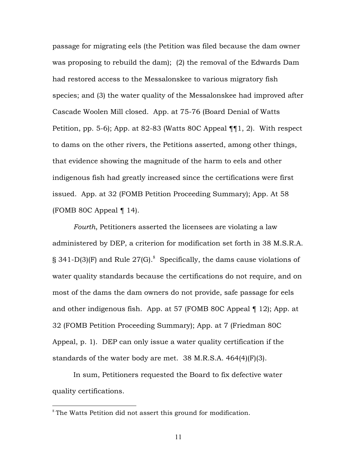passage for migrating eels (the Petition was filed because the dam owner was proposing to rebuild the dam); (2) the removal of the Edwards Dam had restored access to the Messalonskee to various migratory fish species; and (3) the water quality of the Messalonskee had improved after Cascade Woolen Mill closed. App. at 75-76 (Board Denial of Watts Petition, pp. 5-6); App. at 82-83 (Watts 80C Appeal ¶¶1, 2). With respect to dams on the other rivers, the Petitions asserted, among other things, that evidence showing the magnitude of the harm to eels and other indigenous fish had greatly increased since the certifications were first issued. App. at 32 (FOMB Petition Proceeding Summary); App. At 58 (FOMB 80C Appeal  $\P$  14).

*Fourth*, Petitioners asserted the licensees are violating a law administered by DEP, a criterion for modification set forth in 38 M.S.R.A. § 341-D(3)(F) and Rule 27(G). $^{8}$  Specifically, the dams cause violations of water quality standards because the certifications do not require, and on most of the dams the dam owners do not provide, safe passage for eels and other indigenous fish. App. at 57 (FOMB 80C Appeal ¶ 12); App. at 32 (FOMB Petition Proceeding Summary); App. at 7 (Friedman 80C Appeal, p. 1). DEP can only issue a water quality certification if the standards of the water body are met. 38 M.R.S.A. 464(4)(F)(3).

In sum, Petitioners requested the Board to fix defective water quality certifications.

 $8$  The Watts Petition did not assert this ground for modification.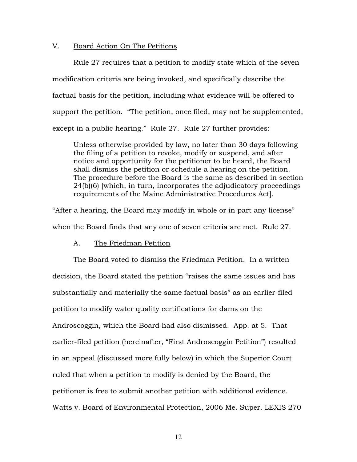### V. Board Action On The Petitions

Rule 27 requires that a petition to modify state which of the seven modification criteria are being invoked, and specifically describe the factual basis for the petition, including what evidence will be offered to support the petition. "The petition, once filed, may not be supplemented, except in a public hearing." Rule 27. Rule 27 further provides:

Unless otherwise provided by law, no later than 30 days following the filing of a petition to revoke, modify or suspend, and after notice and opportunity for the petitioner to be heard, the Board shall dismiss the petition or schedule a hearing on the petition. The procedure before the Board is the same as described in section 24(b)(6) [which, in turn, incorporates the adjudicatory proceedings requirements of the Maine Administrative Procedures Act].

"After a hearing, the Board may modify in whole or in part any license" when the Board finds that any one of seven criteria are met. Rule 27.

#### A. The Friedman Petition

The Board voted to dismiss the Friedman Petition. In a written decision, the Board stated the petition "raises the same issues and has substantially and materially the same factual basis" as an earlier-filed petition to modify water quality certifications for dams on the Androscoggin, which the Board had also dismissed. App. at 5. That earlier-filed petition (hereinafter, "First Androscoggin Petition") resulted in an appeal (discussed more fully below) in which the Superior Court ruled that when a petition to modify is denied by the Board, the petitioner is free to submit another petition with additional evidence. Watts v. Board of Environmental Protection, 2006 Me. Super. LEXIS 270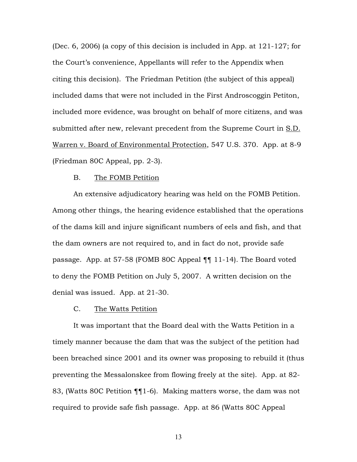(Dec. 6, 2006) (a copy of this decision is included in App. at 121-127; for the Court's convenience, Appellants will refer to the Appendix when citing this decision). The Friedman Petition (the subject of this appeal) included dams that were not included in the First Androscoggin Petiton, included more evidence, was brought on behalf of more citizens, and was submitted after new, relevant precedent from the Supreme Court in S.D. Warren v. Board of Environmental Protection, 547 U.S. 370. App. at 8-9 (Friedman 80C Appeal, pp. 2-3).

#### B. The FOMB Petition

An extensive adjudicatory hearing was held on the FOMB Petition. Among other things, the hearing evidence established that the operations of the dams kill and injure significant numbers of eels and fish, and that the dam owners are not required to, and in fact do not, provide safe passage. App. at 57-58 (FOMB 80C Appeal ¶¶ 11-14). The Board voted to deny the FOMB Petition on July 5, 2007. A written decision on the denial was issued. App. at 21-30.

### C. The Watts Petition

It was important that the Board deal with the Watts Petition in a timely manner because the dam that was the subject of the petition had been breached since 2001 and its owner was proposing to rebuild it (thus preventing the Messalonskee from flowing freely at the site). App. at 82- 83, (Watts 80C Petition ¶¶1-6). Making matters worse, the dam was not required to provide safe fish passage. App. at 86 (Watts 80C Appeal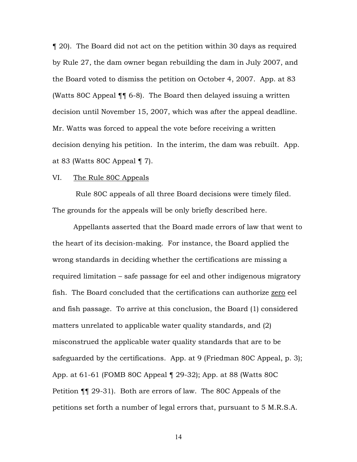¶ 20). The Board did not act on the petition within 30 days as required by Rule 27, the dam owner began rebuilding the dam in July 2007, and the Board voted to dismiss the petition on October 4, 2007. App. at 83 (Watts 80C Appeal ¶¶ 6-8). The Board then delayed issuing a written decision until November 15, 2007, which was after the appeal deadline. Mr. Watts was forced to appeal the vote before receiving a written decision denying his petition. In the interim, the dam was rebuilt. App. at 83 (Watts 80C Appeal ¶ 7).

#### VI. The Rule 80C Appeals

 Rule 80C appeals of all three Board decisions were timely filed. The grounds for the appeals will be only briefly described here.

Appellants asserted that the Board made errors of law that went to the heart of its decision-making. For instance, the Board applied the wrong standards in deciding whether the certifications are missing a required limitation – safe passage for eel and other indigenous migratory fish. The Board concluded that the certifications can authorize zero eel and fish passage. To arrive at this conclusion, the Board (1) considered matters unrelated to applicable water quality standards, and (2) misconstrued the applicable water quality standards that are to be safeguarded by the certifications. App. at 9 (Friedman 80C Appeal, p. 3); App. at 61-61 (FOMB 80C Appeal ¶ 29-32); App. at 88 (Watts 80C Petition ¶¶ 29-31). Both are errors of law. The 80C Appeals of the petitions set forth a number of legal errors that, pursuant to 5 M.R.S.A.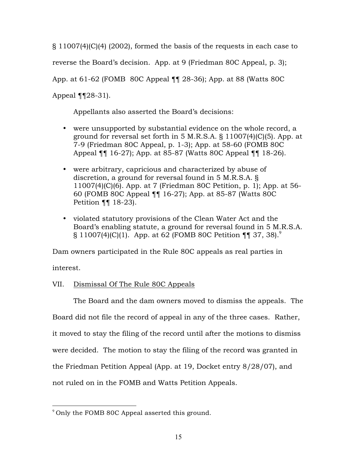§ 11007(4)(C)(4) (2002), formed the basis of the requests in each case to reverse the Board's decision. App. at 9 (Friedman 80C Appeal, p. 3); App. at 61-62 (FOMB 80C Appeal ¶¶ 28-36); App. at 88 (Watts 80C Appeal  $\P$  $[28-31]$ .

Appellants also asserted the Board's decisions:

- were unsupported by substantial evidence on the whole record, a ground for reversal set forth in 5 M.R.S.A. § 11007(4)(C)(5). App. at 7-9 (Friedman 80C Appeal, p. 1-3); App. at 58-60 (FOMB 80C Appeal ¶¶ 16-27); App. at 85-87 (Watts 80C Appeal ¶¶ 18-26).
- were arbitrary, capricious and characterized by abuse of discretion, a ground for reversal found in 5 M.R.S.A. § 11007(4)(C)(6). App. at 7 (Friedman 80C Petition, p. 1); App. at 56- 60 (FOMB 80C Appeal ¶¶ 16-27); App. at 85-87 (Watts 80C Petition ¶¶ 18-23).
- violated statutory provisions of the Clean Water Act and the Board's enabling statute, a ground for reversal found in 5 M.R.S.A.  $\S 11007(4)(C)(1)$ . App. at 62 (FOMB 80C Petition ¶¶ 37, 38).<sup>9</sup>

Dam owners participated in the Rule 80C appeals as real parties in

interest.

# VII. Dismissal Of The Rule 80C Appeals

The Board and the dam owners moved to dismiss the appeals. The Board did not file the record of appeal in any of the three cases. Rather, it moved to stay the filing of the record until after the motions to dismiss were decided. The motion to stay the filing of the record was granted in the Friedman Petition Appeal (App. at 19, Docket entry 8/28/07), and

not ruled on in the FOMB and Watts Petition Appeals.

 $9^9$  Only the FOMB 80C Appeal asserted this ground.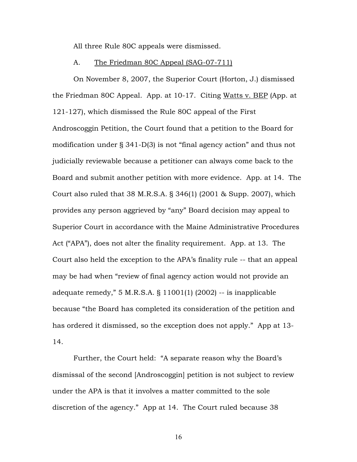All three Rule 80C appeals were dismissed.

#### A. The Friedman 80C Appeal (SAG-07-711)

On November 8, 2007, the Superior Court (Horton, J.) dismissed the Friedman 80C Appeal. App. at 10-17. Citing Watts v. BEP (App. at 121-127), which dismissed the Rule 80C appeal of the First Androscoggin Petition, the Court found that a petition to the Board for modification under § 341-D(3) is not "final agency action" and thus not judicially reviewable because a petitioner can always come back to the Board and submit another petition with more evidence. App. at 14. The Court also ruled that 38 M.R.S.A. § 346(1) (2001 & Supp. 2007), which provides any person aggrieved by "any" Board decision may appeal to Superior Court in accordance with the Maine Administrative Procedures Act ("APA"), does not alter the finality requirement. App. at 13. The Court also held the exception to the APA's finality rule -- that an appeal may be had when "review of final agency action would not provide an adequate remedy," 5 M.R.S.A. § 11001(1) (2002) -- is inapplicable because "the Board has completed its consideration of the petition and has ordered it dismissed, so the exception does not apply." App at 13- 14.

Further, the Court held: "A separate reason why the Board's dismissal of the second [Androscoggin] petition is not subject to review under the APA is that it involves a matter committed to the sole discretion of the agency." App at 14. The Court ruled because 38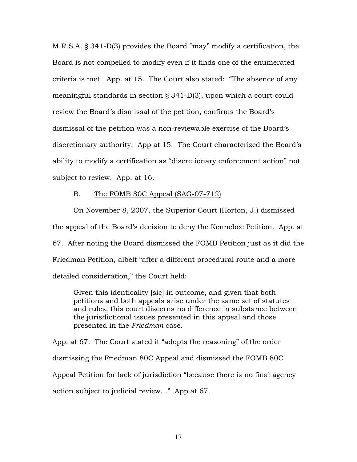M.R.S.A. § 341-D(3) provides the Board "may" modify a certification, the Board is not compelled to modify even if it finds one of the enumerated criteria is met. App. at 15. The Court also stated: "The absence of any meaningful standards in section § 341-D(3), upon which a court could review the Board's dismissal of the petition, confirms the Board's dismissal of the petition was a non-reviewable exercise of the Board's discretionary authority. App at 15. The Court characterized the Board's ability to modify a certification as "discretionary enforcement action" not subject to review. App. at 16.

#### B. The FOMB 80C Appeal (SAG-07-712)

On November 8, 2007, the Superior Court (Horton, J.) dismissed the appeal of the Board's decision to deny the Kennebec Petition. App. at 67. After noting the Board dismissed the FOMB Petition just as it did the Friedman Petition, albeit "after a different procedural route and a more detailed consideration," the Court held:

Given this identicality [sic] in outcome, and given that both petitions and both appeals arise under the same set of statutes and rules, this court discerns no difference in substance between the jurisdictional issues presented in this appeal and those presented in the *Friedman* case.

App. at 67. The Court stated it "adopts the reasoning" of the order dismissing the Friedman 80C Appeal and dismissed the FOMB 80C Appeal Petition for lack of jurisdiction "because there is no final agency action subject to judicial review…" App at 67.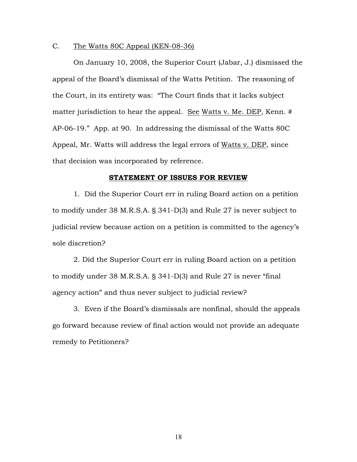#### C. The Watts 80C Appeal (KEN-08-36)

On January 10, 2008, the Superior Court (Jabar, J.) dismissed the appeal of the Board's dismissal of the Watts Petition. The reasoning of the Court, in its entirety was: "The Court finds that it lacks subject matter jurisdiction to hear the appeal. See Watts v. Me. DEP, Kenn. # AP-06-19." App. at 90. In addressing the dismissal of the Watts 80C Appeal, Mr. Watts will address the legal errors of Watts v. DEP, since that decision was incorporated by reference.

#### **STATEMENT OF ISSUES FOR REVIEW**

1. Did the Superior Court err in ruling Board action on a petition to modify under 38 M.R.S.A. § 341-D(3) and Rule 27 is never subject to judicial review because action on a petition is committed to the agency's sole discretion?

2. Did the Superior Court err in ruling Board action on a petition to modify under 38 M.R.S.A. § 341-D(3) and Rule 27 is never "final agency action" and thus never subject to judicial review?

3. Even if the Board's dismissals are nonfinal, should the appeals go forward because review of final action would not provide an adequate remedy to Petitioners?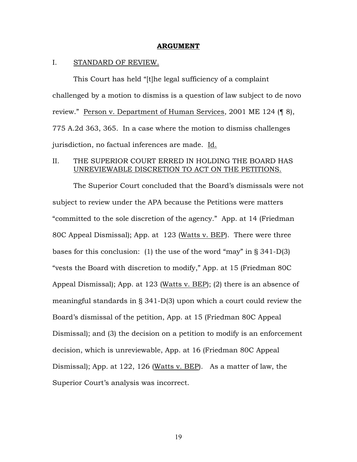#### **ARGUMENT**

#### I. STANDARD OF REVIEW.

This Court has held "[t]he legal sufficiency of a complaint challenged by a motion to dismiss is a question of law subject to de novo review." Person v. Department of Human Services, 2001 ME 124 (¶ 8), 775 A.2d 363, 365. In a case where the motion to dismiss challenges jurisdiction, no factual inferences are made. Id.

### II. THE SUPERIOR COURT ERRED IN HOLDING THE BOARD HAS UNREVIEWABLE DISCRETION TO ACT ON THE PETITIONS.

The Superior Court concluded that the Board's dismissals were not subject to review under the APA because the Petitions were matters "committed to the sole discretion of the agency." App. at 14 (Friedman 80C Appeal Dismissal); App. at 123 (Watts v. BEP). There were three bases for this conclusion: (1) the use of the word "may" in § 341-D(3) "vests the Board with discretion to modify," App. at 15 (Friedman 80C Appeal Dismissal); App. at 123 (Watts v. BEP); (2) there is an absence of meaningful standards in § 341-D(3) upon which a court could review the Board's dismissal of the petition, App. at 15 (Friedman 80C Appeal Dismissal); and (3) the decision on a petition to modify is an enforcement decision, which is unreviewable, App. at 16 (Friedman 80C Appeal Dismissal); App. at 122, 126 (Watts v. BEP). As a matter of law, the Superior Court's analysis was incorrect.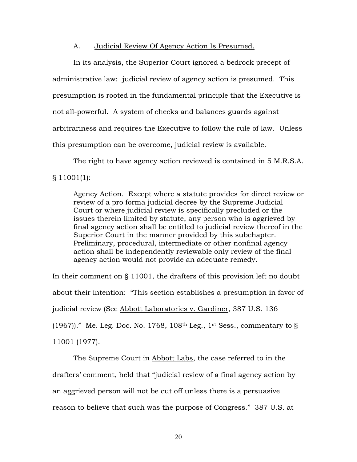#### A. Judicial Review Of Agency Action Is Presumed.

In its analysis, the Superior Court ignored a bedrock precept of administrative law: judicial review of agency action is presumed. This presumption is rooted in the fundamental principle that the Executive is not all-powerful. A system of checks and balances guards against arbitrariness and requires the Executive to follow the rule of law. Unless this presumption can be overcome, judicial review is available.

The right to have agency action reviewed is contained in 5 M.R.S.A. § 11001(1):

Agency Action. Except where a statute provides for direct review or review of a pro forma judicial decree by the Supreme Judicial Court or where judicial review is specifically precluded or the issues therein limited by statute, any person who is aggrieved by final agency action shall be entitled to judicial review thereof in the Superior Court in the manner provided by this subchapter. Preliminary, procedural, intermediate or other nonfinal agency action shall be independently reviewable only review of the final agency action would not provide an adequate remedy.

In their comment on § 11001, the drafters of this provision left no doubt about their intention: "This section establishes a presumption in favor of judicial review (See Abbott Laboratories v. Gardiner, 387 U.S. 136 (1967))." Me. Leg. Doc. No. 1768, 108<sup>th</sup> Leg., 1<sup>st</sup> Sess., commentary to § 11001 (1977).

The Supreme Court in Abbott Labs, the case referred to in the drafters' comment, held that "judicial review of a final agency action by an aggrieved person will not be cut off unless there is a persuasive reason to believe that such was the purpose of Congress." 387 U.S. at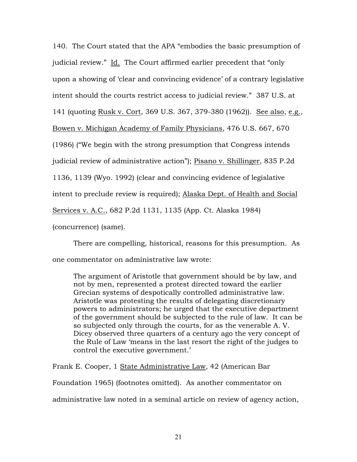140. The Court stated that the APA "embodies the basic presumption of judicial review." Id. The Court affirmed earlier precedent that "only upon a showing of 'clear and convincing evidence' of a contrary legislative intent should the courts restrict access to judicial review." 387 U.S. at 141 (quoting Rusk v. Cort, 369 U.S. 367, 379-380 (1962)). See also, e.g., Bowen v. Michigan Academy of Family Physicians, 476 U.S. 667, 670 (1986) ("We begin with the strong presumption that Congress intends judicial review of administrative action"); Pisano v. Shillinger, 835 P.2d 1136, 1139 (Wyo. 1992) (clear and convincing evidence of legislative intent to preclude review is required); Alaska Dept. of Health and Social Services v. A.C., 682 P.2d 1131, 1135 (App. Ct. Alaska 1984) (concurrence) (same).

There are compelling, historical, reasons for this presumption. As one commentator on administrative law wrote:

The argument of Aristotle that government should be by law, and not by men, represented a protest directed toward the earlier Grecian systems of despotically controlled administrative law. Aristotle was protesting the results of delegating discretionary powers to administrators; he urged that the executive department of the government should be subjected to the rule of law. It can be so subjected only through the courts, for as the venerable A. V. Dicey observed three quarters of a century ago the very concept of the Rule of Law 'means in the last resort the right of the judges to control the executive government.'

Frank E. Cooper, 1 State Administrative Law, 42 (American Bar

Foundation 1965) (footnotes omitted). As another commentator on

administrative law noted in a seminal article on review of agency action,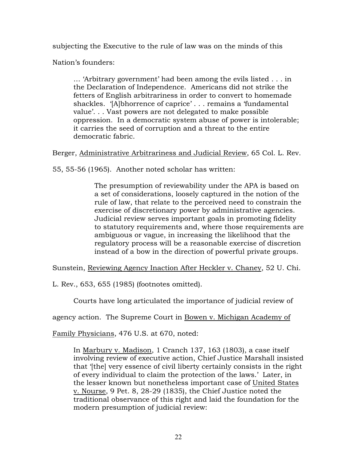subjecting the Executive to the rule of law was on the minds of this

Nation's founders:

… 'Arbitrary government' had been among the evils listed . . . in the Declaration of Independence. Americans did not strike the fetters of English arbitrariness in order to convert to homemade shackles. '[A]bhorrence of caprice' . . . remains a 'fundamental value'. . . Vast powers are not delegated to make possible oppression. In a democratic system abuse of power is intolerable; it carries the seed of corruption and a threat to the entire democratic fabric.

Berger, Administrative Arbitrariness and Judicial Review, 65 Col. L. Rev.

55, 55-56 (1965). Another noted scholar has written:

The presumption of reviewability under the APA is based on a set of considerations, loosely captured in the notion of the rule of law, that relate to the perceived need to constrain the exercise of discretionary power by administrative agencies. Judicial review serves important goals in promoting fidelity to statutory requirements and, where those requirements are ambiguous or vague, in increasing the likelihood that the regulatory process will be a reasonable exercise of discretion instead of a bow in the direction of powerful private groups.

Sunstein, Reviewing Agency Inaction After Heckler v. Chaney, 52 U. Chi.

L. Rev., 653, 655 (1985) (footnotes omitted).

Courts have long articulated the importance of judicial review of

agency action. The Supreme Court in Bowen v. Michigan Academy of

Family Physicians, 476 U.S. at 670, noted:

In Marbury v. Madison, 1 Cranch 137, 163 (1803), a case itself involving review of executive action, Chief Justice Marshall insisted that '[the] very essence of civil liberty certainly consists in the right of every individual to claim the protection of the laws.' Later, in the lesser known but nonetheless important case of United States v. Nourse, 9 Pet. 8, 28-29 (1835), the Chief Justice noted the traditional observance of this right and laid the foundation for the modern presumption of judicial review: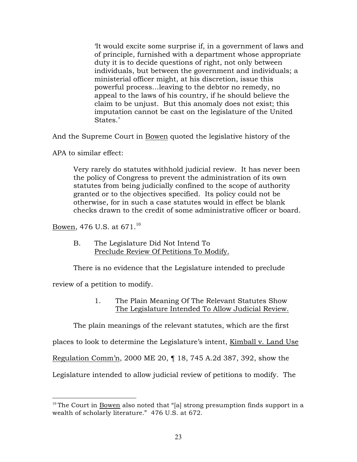'It would excite some surprise if, in a government of laws and of principle, furnished with a department whose appropriate duty it is to decide questions of right, not only between individuals, but between the government and individuals; a ministerial officer might, at his discretion, issue this powerful process…leaving to the debtor no remedy, no appeal to the laws of his country, if he should believe the claim to be unjust. But this anomaly does not exist; this imputation cannot be cast on the legislature of the United States.'

And the Supreme Court in Bowen quoted the legislative history of the

APA to similar effect:

Very rarely do statutes withhold judicial review. It has never been the policy of Congress to prevent the administration of its own statutes from being judicially confined to the scope of authority granted or to the objectives specified. Its policy could not be otherwise, for in such a case statutes would in effect be blank checks drawn to the credit of some administrative officer or board.

Bowen, 476 U.S. at  $671^{10}$ 

B. The Legislature Did Not Intend To Preclude Review Of Petitions To Modify.

There is no evidence that the Legislature intended to preclude

review of a petition to modify.

1. The Plain Meaning Of The Relevant Statutes Show The Legislature Intended To Allow Judicial Review.

The plain meanings of the relevant statutes, which are the first

places to look to determine the Legislature's intent, Kimball v. Land Use

Regulation Comm'n, 2000 ME 20, ¶ 18, 745 A.2d 387, 392, show the

Legislature intended to allow judicial review of petitions to modify. The

 $10$ <sup>10</sup> The Court in Bowen also noted that "[a] strong presumption finds support in a wealth of scholarly literature." 476 U.S. at 672.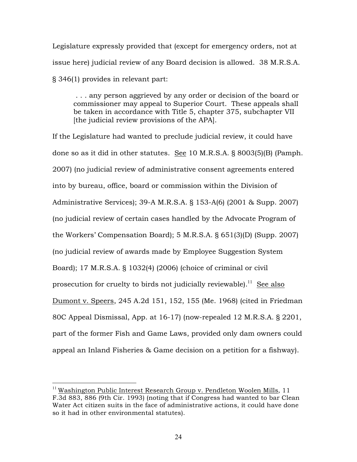Legislature expressly provided that (except for emergency orders, not at issue here) judicial review of any Board decision is allowed. 38 M.R.S.A. § 346(1) provides in relevant part:

 . . . any person aggrieved by any order or decision of the board or commissioner may appeal to Superior Court. These appeals shall be taken in accordance with Title 5, chapter 375, subchapter VII [the judicial review provisions of the APA].

If the Legislature had wanted to preclude judicial review, it could have done so as it did in other statutes. See 10 M.R.S.A. § 8003(5)(B) (Pamph. 2007) (no judicial review of administrative consent agreements entered into by bureau, office, board or commission within the Division of Administrative Services); 39-A M.R.S.A. § 153-A(6) (2001 & Supp. 2007) (no judicial review of certain cases handled by the Advocate Program of the Workers' Compensation Board); 5 M.R.S.A. § 651(3)(D) (Supp. 2007) (no judicial review of awards made by Employee Suggestion System Board); 17 M.R.S.A. § 1032(4) (2006) (choice of criminal or civil prosecution for cruelty to birds not judicially reviewable).<sup>11</sup> See also Dumont v. Speers, 245 A.2d 151, 152, 155 (Me. 1968) (cited in Friedman 80C Appeal Dismissal, App. at 16-17) (now-repealed 12 M.R.S.A. § 2201, part of the former Fish and Game Laws, provided only dam owners could appeal an Inland Fisheries & Game decision on a petition for a fishway).

<sup>&</sup>lt;sup>11</sup> Washington Public Interest Research Group v. Pendleton Woolen Mills, 11 F.3d 883, 886 (9th Cir. 1993) (noting that if Congress had wanted to bar Clean Water Act citizen suits in the face of administrative actions, it could have done so it had in other environmental statutes).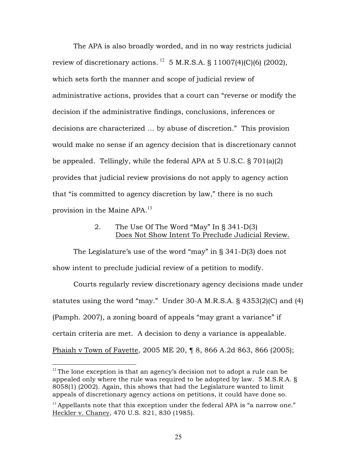The APA is also broadly worded, and in no way restricts judicial review of discretionary actions. <sup>12</sup> 5 M.R.S.A. § 11007(4)(C)(6) (2002), which sets forth the manner and scope of judicial review of administrative actions, provides that a court can "reverse or modify the decision if the administrative findings, conclusions, inferences or decisions are characterized … by abuse of discretion." This provision would make no sense if an agency decision that is discretionary cannot be appealed. Tellingly, while the federal APA at 5 U.S.C. § 701(a)(2) provides that judicial review provisions do not apply to agency action that "is committed to agency discretion by law," there is no such provision in the Maine APA.<sup>13</sup>

## 2. The Use Of The Word "May" In § 341-D(3) Does Not Show Intent To Preclude Judicial Review.

The Legislature's use of the word "may" in § 341-D(3) does not show intent to preclude judicial review of a petition to modify.

Courts regularly review discretionary agency decisions made under statutes using the word "may." Under 30-A M.R.S.A. § 4353(2)(C) and (4) (Pamph. 2007), a zoning board of appeals "may grant a variance" if certain criteria are met. A decision to deny a variance is appealable. Phaiah v Town of Fayette, 2005 ME 20, ¶ 8, 866 A.2d 863, 866 (2005);

 $12$  The lone exception is that an agency's decision not to adopt a rule can be appealed only where the rule was required to be adopted by law. 5 M.S.R.A. § 8058(1) (2002). Again, this shows that had the Legislature wanted to limit appeals of discretionary agency actions on petitions, it could have done so.

 $13$  Appellants note that this exception under the federal APA is "a narrow one." Heckler v. Chaney, 470 U.S. 821, 830 (1985).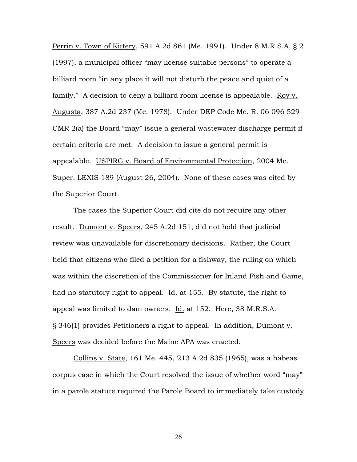Perrin v. Town of Kittery, 591 A.2d 861 (Me. 1991). Under 8 M.R.S.A. § 2 (1997), a municipal officer "may license suitable persons" to operate a billiard room "in any place it will not disturb the peace and quiet of a family." A decision to deny a billiard room license is appealable. Roy v. Augusta, 387 A.2d 237 (Me. 1978). Under DEP Code Me. R. 06 096 529 CMR 2(a) the Board "may" issue a general wastewater discharge permit if certain criteria are met. A decision to issue a general permit is appealable. USPIRG v. Board of Environmental Protection, 2004 Me. Super. LEXIS 189 (August 26, 2004). None of these cases was cited by the Superior Court.

The cases the Superior Court did cite do not require any other result. Dumont v. Speers, 245 A.2d 151, did not hold that judicial review was unavailable for discretionary decisions. Rather, the Court held that citizens who filed a petition for a fishway, the ruling on which was within the discretion of the Commissioner for Inland Fish and Game, had no statutory right to appeal. Id. at 155. By statute, the right to appeal was limited to dam owners. Id. at 152. Here, 38 M.R.S.A. § 346(1) provides Petitioners a right to appeal. In addition, Dumont v. Speers was decided before the Maine APA was enacted.

Collins v. State, 161 Me. 445, 213 A.2d 835 (1965), was a habeas corpus case in which the Court resolved the issue of whether word "may" in a parole statute required the Parole Board to immediately take custody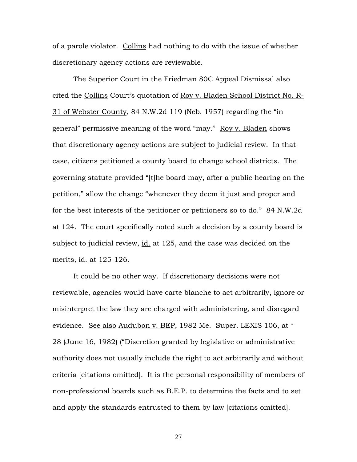of a parole violator. Collins had nothing to do with the issue of whether discretionary agency actions are reviewable.

The Superior Court in the Friedman 80C Appeal Dismissal also cited the Collins Court's quotation of Roy v. Bladen School District No. R-31 of Webster County, 84 N.W.2d 119 (Neb. 1957) regarding the "in general" permissive meaning of the word "may." Roy v. Bladen shows that discretionary agency actions are subject to judicial review. In that case, citizens petitioned a county board to change school districts. The governing statute provided "[t]he board may, after a public hearing on the petition," allow the change "whenever they deem it just and proper and for the best interests of the petitioner or petitioners so to do." 84 N.W.2d at 124. The court specifically noted such a decision by a county board is subject to judicial review, id. at 125, and the case was decided on the merits, id. at 125-126.

It could be no other way. If discretionary decisions were not reviewable, agencies would have carte blanche to act arbitrarily, ignore or misinterpret the law they are charged with administering, and disregard evidence. See also Audubon v. BEP, 1982 Me. Super. LEXIS 106, at \* 28 (June 16, 1982) ("Discretion granted by legislative or administrative authority does not usually include the right to act arbitrarily and without criteria [citations omitted]. It is the personal responsibility of members of non-professional boards such as B.E.P. to determine the facts and to set and apply the standards entrusted to them by law [citations omitted].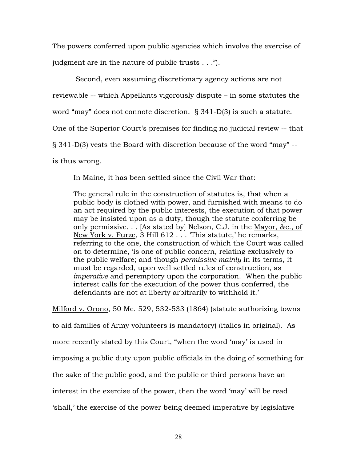The powers conferred upon public agencies which involve the exercise of judgment are in the nature of public trusts . . .").

 Second, even assuming discretionary agency actions are not reviewable -- which Appellants vigorously dispute – in some statutes the word "may" does not connote discretion. § 341-D(3) is such a statute. One of the Superior Court's premises for finding no judicial review -- that § 341-D(3) vests the Board with discretion because of the word "may" - is thus wrong.

In Maine, it has been settled since the Civil War that:

The general rule in the construction of statutes is, that when a public body is clothed with power, and furnished with means to do an act required by the public interests, the execution of that power may be insisted upon as a duty, though the statute conferring be only permissive. . . [As stated by] Nelson, C.J. in the <u>Mayor, &c., of</u> New York v. Furze, 3 Hill 612 . . . 'This statute,' he remarks, referring to the one, the construction of which the Court was called on to determine, 'is one of public concern, relating exclusively to the public welfare; and though *permissive mainly* in its terms, it must be regarded, upon well settled rules of construction, as *imperative* and peremptory upon the corporation. When the public interest calls for the execution of the power thus conferred, the defendants are not at liberty arbitrarily to withhold it.'

Milford v. Orono, 50 Me. 529, 532-533 (1864) (statute authorizing towns to aid families of Army volunteers is mandatory) (italics in original). As more recently stated by this Court, "when the word 'may' is used in imposing a public duty upon public officials in the doing of something for the sake of the public good, and the public or third persons have an interest in the exercise of the power, then the word 'may' will be read 'shall,' the exercise of the power being deemed imperative by legislative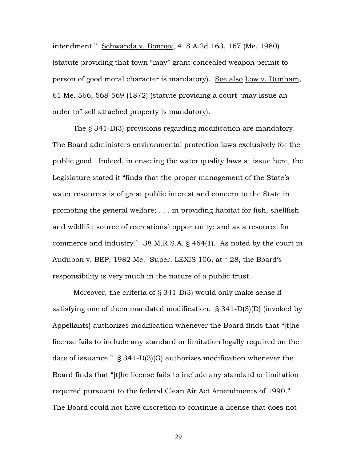intendment." Schwanda v. Bonney, 418 A.2d 163, 167 (Me. 1980) (statute providing that town "may" grant concealed weapon permit to person of good moral character is mandatory). See also Low v. Dunham, 61 Me. 566, 568-569 (1872) (statute providing a court "may issue an order to" sell attached property is mandatory).

The § 341-D(3) provisions regarding modification are mandatory. The Board administers environmental protection laws exclusively for the public good. Indeed, in enacting the water quality laws at issue here, the Legislature stated it "finds that the proper management of the State's water resources is of great public interest and concern to the State in promoting the general welfare; . . . in providing habitat for fish, shellfish and wildlife; source of recreational opportunity; and as a resource for commerce and industry." 38 M.R.S.A. § 464(1). As noted by the court in Audubon v. BEP, 1982 Me. Super. LEXIS 106, at \* 28, the Board's responsibility is very much in the nature of a public trust.

Moreover, the criteria of § 341-D(3) would only make sense if satisfying one of them mandated modification. § 341-D(3)(D) (invoked by Appellants) authorizes modification whenever the Board finds that "[t]he license fails to include any standard or limitation legally required on the date of issuance." § 341-D(3)(G) authorizes modification whenever the Board finds that "[t]he license fails to include any standard or limitation required pursuant to the federal Clean Air Act Amendments of 1990." The Board could not have discretion to continue a license that does not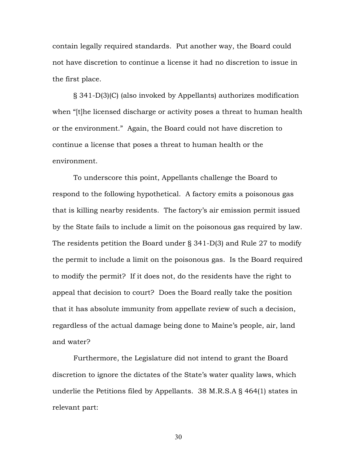contain legally required standards. Put another way, the Board could not have discretion to continue a license it had no discretion to issue in the first place.

§ 341-D(3)(C) (also invoked by Appellants) authorizes modification when "[t]he licensed discharge or activity poses a threat to human health or the environment." Again, the Board could not have discretion to continue a license that poses a threat to human health or the environment.

To underscore this point, Appellants challenge the Board to respond to the following hypothetical. A factory emits a poisonous gas that is killing nearby residents. The factory's air emission permit issued by the State fails to include a limit on the poisonous gas required by law. The residents petition the Board under § 341-D(3) and Rule 27 to modify the permit to include a limit on the poisonous gas. Is the Board required to modify the permit? If it does not, do the residents have the right to appeal that decision to court? Does the Board really take the position that it has absolute immunity from appellate review of such a decision, regardless of the actual damage being done to Maine's people, air, land and water?

Furthermore, the Legislature did not intend to grant the Board discretion to ignore the dictates of the State's water quality laws, which underlie the Petitions filed by Appellants. 38 M.R.S.A § 464(1) states in relevant part: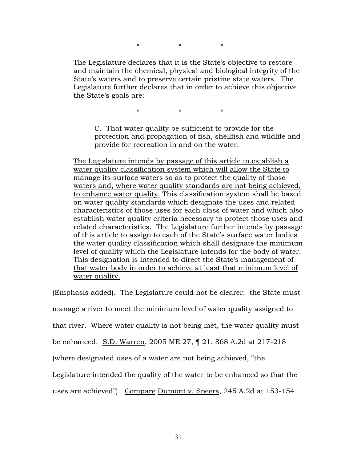\* \* \*

The Legislature declares that it is the State's objective to restore and maintain the chemical, physical and biological integrity of the State's waters and to preserve certain pristine state waters. The Legislature further declares that in order to achieve this objective the State's goals are:

\* \* \*

C. That water quality be sufficient to provide for the protection and propagation of fish, shellfish and wildlife and provide for recreation in and on the water.

The Legislature intends by passage of this article to establish a water quality classification system which will allow the State to manage its surface waters so as to protect the quality of those waters and, where water quality standards are not being achieved, to enhance water quality. This classification system shall be based on water quality standards which designate the uses and related characteristics of those uses for each class of water and which also establish water quality criteria necessary to protect those uses and related characteristics. The Legislature further intends by passage of this article to assign to each of the State's surface water bodies the water quality classification which shall designate the minimum level of quality which the Legislature intends for the body of water. This designation is intended to direct the State's management of that water body in order to achieve at least that minimum level of water quality.

(Emphasis added). The Legislature could not be clearer: the State must

manage a river to meet the minimum level of water quality assigned to

that river. Where water quality is not being met, the water quality must

be enhanced. S.D. Warren, 2005 ME 27, ¶ 21, 868 A.2d at 217-218

(where designated uses of a water are not being achieved, "the

Legislature intended the quality of the water to be enhanced so that the

uses are achieved"). Compare Dumont v. Speers, 245 A.2d at 153-154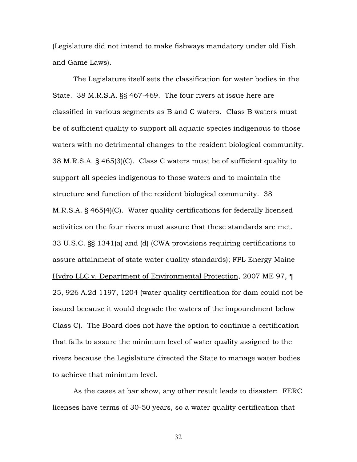(Legislature did not intend to make fishways mandatory under old Fish and Game Laws).

The Legislature itself sets the classification for water bodies in the State. 38 M.R.S.A. §§ 467-469. The four rivers at issue here are classified in various segments as B and C waters. Class B waters must be of sufficient quality to support all aquatic species indigenous to those waters with no detrimental changes to the resident biological community. 38 M.R.S.A. § 465(3)(C). Class C waters must be of sufficient quality to support all species indigenous to those waters and to maintain the structure and function of the resident biological community. 38 M.R.S.A. § 465(4)(C). Water quality certifications for federally licensed activities on the four rivers must assure that these standards are met. 33 U.S.C. §§ 1341(a) and (d) (CWA provisions requiring certifications to assure attainment of state water quality standards); FPL Energy Maine Hydro LLC v. Department of Environmental Protection, 2007 ME 97, ¶ 25, 926 A.2d 1197, 1204 (water quality certification for dam could not be issued because it would degrade the waters of the impoundment below Class C). The Board does not have the option to continue a certification that fails to assure the minimum level of water quality assigned to the rivers because the Legislature directed the State to manage water bodies to achieve that minimum level.

As the cases at bar show, any other result leads to disaster: FERC licenses have terms of 30-50 years, so a water quality certification that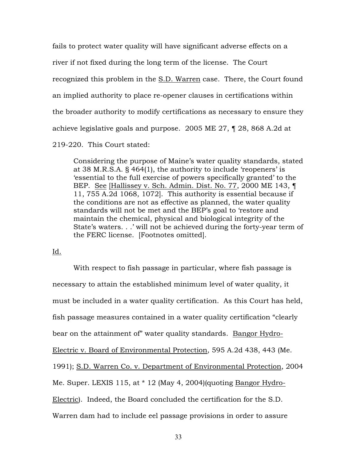fails to protect water quality will have significant adverse effects on a river if not fixed during the long term of the license. The Court recognized this problem in the S.D. Warren case. There, the Court found an implied authority to place re-opener clauses in certifications within the broader authority to modify certifications as necessary to ensure they achieve legislative goals and purpose. 2005 ME 27, ¶ 28, 868 A.2d at 219-220. This Court stated:

Considering the purpose of Maine's water quality standards, stated at 38 M.R.S.A. § 464(1), the authority to include 'reopeners' is 'essential to the full exercise of powers specifically granted' to the BEP. See [Hallissey v. Sch. Admin. Dist. No. 77, 2000 ME 143, ¶ 11, 755 A.2d 1068, 1072]. This authority is essential because if the conditions are not as effective as planned, the water quality standards will not be met and the BEP's goal to 'restore and maintain the chemical, physical and biological integrity of the State's waters. . .' will not be achieved during the forty-year term of the FERC license. [Footnotes omitted].

Id.

With respect to fish passage in particular, where fish passage is necessary to attain the established minimum level of water quality, it must be included in a water quality certification. As this Court has held, fish passage measures contained in a water quality certification "clearly bear on the attainment of" water quality standards. Bangor Hydro-Electric v. Board of Environmental Protection, 595 A.2d 438, 443 (Me. 1991); S.D. Warren Co. v. Department of Environmental Protection, 2004 Me. Super. LEXIS 115, at \* 12 (May 4, 2004)(quoting Bangor Hydro-Electric). Indeed, the Board concluded the certification for the S.D. Warren dam had to include eel passage provisions in order to assure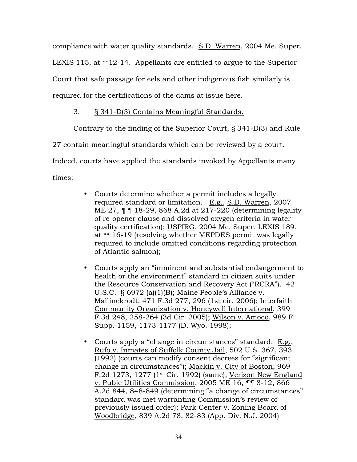compliance with water quality standards. S.D. Warren, 2004 Me. Super. LEXIS 115, at \*\*12-14. Appellants are entitled to argue to the Superior Court that safe passage for eels and other indigenous fish similarly is required for the certifications of the dams at issue here.

# 3. § 341-D(3) Contains Meaningful Standards.

Contrary to the finding of the Superior Court, § 341-D(3) and Rule

27 contain meaningful standards which can be reviewed by a court.

Indeed, courts have applied the standards invoked by Appellants many

times:

- Courts determine whether a permit includes a legally required standard or limitation. E.g., S.D. Warren, 2007 ME 27, ¶ ¶ 18-29, 868 A.2d at 217-220 (determining legality of re-opener clause and dissolved oxygen criteria in water quality certification); USPIRG, 2004 Me. Super. LEXIS 189, at \*\* 16-19 (resolving whether MEPDES permit was legally required to include omitted conditions regarding protection of Atlantic salmon);
- Courts apply an "imminent and substantial endangerment to health or the environment" standard in citizen suits under the Resource Conservation and Recovery Act ("RCRA"). 42 U.S.C. § 6972 (a)(1)(B); Maine People's Alliance v. Mallinckrodt, 471 F.3d 277, 296 (1st cir. 2006); Interfaith Community Organization v. Honeywell International, 399 F.3d 248, 258-264 (3d Cir. 2005); Wilson v. Amoco, 989 F. Supp. 1159, 1173-1177 (D. Wyo. 1998);
- Courts apply a "change in circumstances" standard. E.g., Rufo v. Inmates of Suffolk County Jail, 502 U.S. 367, 393 (1992) (courts can modify consent decrees for "significant change in circumstances"); Mackin v. City of Boston, 969 F.2d 1273, 1277 (1st Cir. 1992) (same); Verizon New England v. Pubic Utilities Commission, 2005 ME 16, ¶¶ 8-12, 866 A.2d 844, 848-849 (determining "a change of circumstances" standard was met warranting Commission's review of previously issued order); Park Center v. Zoning Board of Woodbridge, 839 A.2d 78, 82-83 (App. Div. N.J. 2004)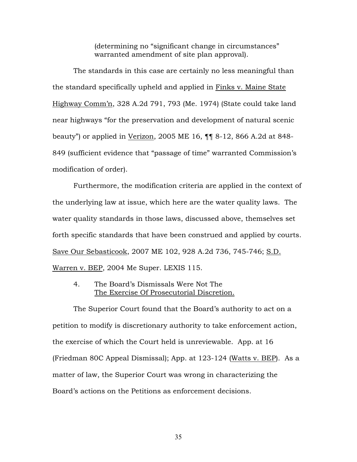(determining no "significant change in circumstances" warranted amendment of site plan approval).

The standards in this case are certainly no less meaningful than the standard specifically upheld and applied in Finks v. Maine State Highway Comm'n, 328 A.2d 791, 793 (Me. 1974) (State could take land near highways "for the preservation and development of natural scenic beauty") or applied in Verizon, 2005 ME 16, ¶¶ 8-12, 866 A.2d at 848- 849 (sufficient evidence that "passage of time" warranted Commission's modification of order).

Furthermore, the modification criteria are applied in the context of the underlying law at issue, which here are the water quality laws. The water quality standards in those laws, discussed above, themselves set forth specific standards that have been construed and applied by courts. Save Our Sebasticook, 2007 ME 102, 928 A.2d 736, 745-746; S.D. Warren v. BEP, 2004 Me Super. LEXIS 115.

4. The Board's Dismissals Were Not The The Exercise Of Prosecutorial Discretion.

The Superior Court found that the Board's authority to act on a petition to modify is discretionary authority to take enforcement action, the exercise of which the Court held is unreviewable. App. at 16 (Friedman 80C Appeal Dismissal); App. at 123-124 (Watts v. BEP). As a matter of law, the Superior Court was wrong in characterizing the Board's actions on the Petitions as enforcement decisions.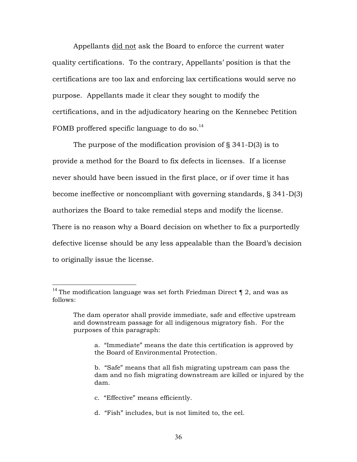Appellants did not ask the Board to enforce the current water quality certifications. To the contrary, Appellants' position is that the certifications are too lax and enforcing lax certifications would serve no purpose. Appellants made it clear they sought to modify the certifications, and in the adjudicatory hearing on the Kennebec Petition FOMB proffered specific language to do so.<sup>14</sup>

The purpose of the modification provision of § 341-D(3) is to provide a method for the Board to fix defects in licenses. If a license never should have been issued in the first place, or if over time it has become ineffective or noncompliant with governing standards, § 341-D(3) authorizes the Board to take remedial steps and modify the license. There is no reason why a Board decision on whether to fix a purportedly defective license should be any less appealable than the Board's decision to originally issue the license.

- c. "Effective" means efficiently.
- d. "Fish" includes, but is not limited to, the eel.

<sup>&</sup>lt;sup>14</sup> The modification language was set forth Friedman Direct  $\P$  2, and was as follows:

The dam operator shall provide immediate, safe and effective upstream and downstream passage for all indigenous migratory fish. For the purposes of this paragraph:

a. "Immediate" means the date this certification is approved by the Board of Environmental Protection.

b. "Safe" means that all fish migrating upstream can pass the dam and no fish migrating downstream are killed or injured by the dam.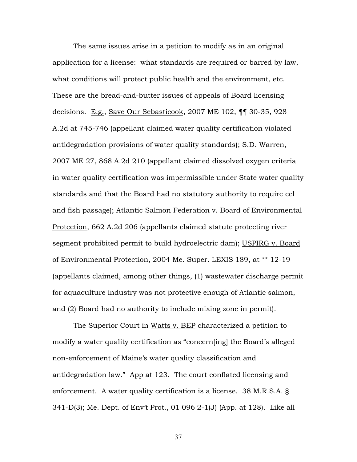The same issues arise in a petition to modify as in an original application for a license: what standards are required or barred by law, what conditions will protect public health and the environment, etc. These are the bread-and-butter issues of appeals of Board licensing decisions. E.g., Save Our Sebasticook, 2007 ME 102, ¶¶ 30-35, 928 A.2d at 745-746 (appellant claimed water quality certification violated antidegradation provisions of water quality standards); S.D. Warren, 2007 ME 27, 868 A.2d 210 (appellant claimed dissolved oxygen criteria in water quality certification was impermissible under State water quality standards and that the Board had no statutory authority to require eel and fish passage); Atlantic Salmon Federation v. Board of Environmental Protection, 662 A.2d 206 (appellants claimed statute protecting river segment prohibited permit to build hydroelectric dam); USPIRG v. Board of Environmental Protection, 2004 Me. Super. LEXIS 189, at \*\* 12-19 (appellants claimed, among other things, (1) wastewater discharge permit for aquaculture industry was not protective enough of Atlantic salmon, and (2) Board had no authority to include mixing zone in permit).

The Superior Court in Watts v. BEP characterized a petition to modify a water quality certification as "concern[ing] the Board's alleged non-enforcement of Maine's water quality classification and antidegradation law." App at 123. The court conflated licensing and enforcement. A water quality certification is a license. 38 M.R.S.A. § 341-D(3); Me. Dept. of Env't Prot., 01 096 2-1(J) (App. at 128). Like all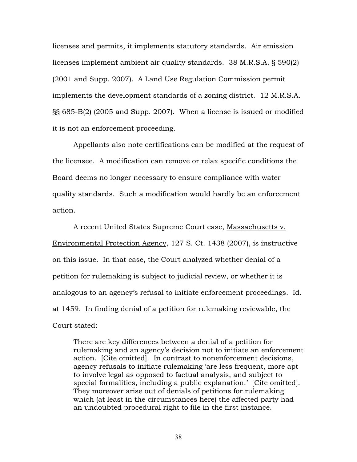licenses and permits, it implements statutory standards. Air emission licenses implement ambient air quality standards. 38 M.R.S.A. § 590(2) (2001 and Supp. 2007). A Land Use Regulation Commission permit implements the development standards of a zoning district. 12 M.R.S.A. §§ 685-B(2) (2005 and Supp. 2007). When a license is issued or modified it is not an enforcement proceeding.

Appellants also note certifications can be modified at the request of the licensee. A modification can remove or relax specific conditions the Board deems no longer necessary to ensure compliance with water quality standards. Such a modification would hardly be an enforcement action.

A recent United States Supreme Court case, Massachusetts v. Environmental Protection Agency, 127 S. Ct. 1438 (2007), is instructive on this issue. In that case, the Court analyzed whether denial of a petition for rulemaking is subject to judicial review, or whether it is analogous to an agency's refusal to initiate enforcement proceedings. Id. at 1459. In finding denial of a petition for rulemaking reviewable, the Court stated:

There are key differences between a denial of a petition for rulemaking and an agency's decision not to initiate an enforcement action. [Cite omitted]. In contrast to nonenforcement decisions, agency refusals to initiate rulemaking 'are less frequent, more apt to involve legal as opposed to factual analysis, and subject to special formalities, including a public explanation.' [Cite omitted]. They moreover arise out of denials of petitions for rulemaking which (at least in the circumstances here) the affected party had an undoubted procedural right to file in the first instance.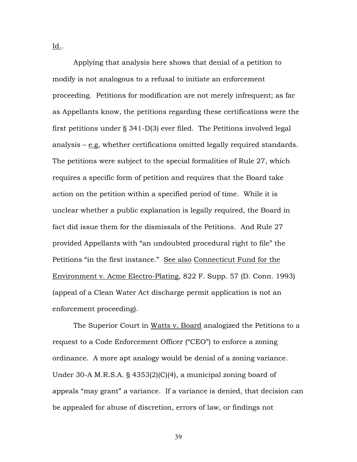<u>Id.</u>.

Applying that analysis here shows that denial of a petition to modify is not analogous to a refusal to initiate an enforcement proceeding. Petitions for modification are not merely infrequent; as far as Appellants know, the petitions regarding these certifications were the first petitions under § 341-D(3) ever filed. The Petitions involved legal analysis – e.g, whether certifications omitted legally required standards. The petitions were subject to the special formalities of Rule 27, which requires a specific form of petition and requires that the Board take action on the petition within a specified period of time. While it is unclear whether a public explanation is legally required, the Board in fact did issue them for the dismissals of the Petitions. And Rule 27 provided Appellants with "an undoubted procedural right to file" the Petitions "in the first instance." See also Connecticut Fund for the Environment v. Acme Electro-Plating, 822 F. Supp. 57 (D. Conn. 1993) (appeal of a Clean Water Act discharge permit application is not an enforcement proceeding).

The Superior Court in Watts v. Board analogized the Petitions to a request to a Code Enforcement Officer ("CEO") to enforce a zoning ordinance. A more apt analogy would be denial of a zoning variance. Under 30-A M.R.S.A. § 4353(2)(C)(4), a municipal zoning board of appeals "may grant" a variance. If a variance is denied, that decision can be appealed for abuse of discretion, errors of law, or findings not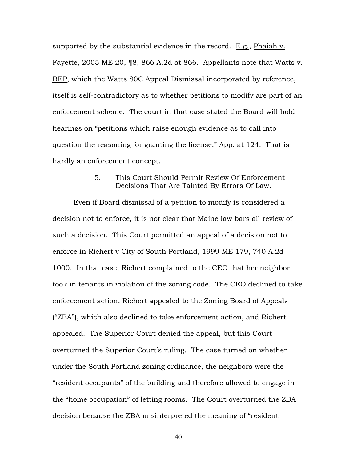supported by the substantial evidence in the record.  $E.g., Phaiah v.$ Fayette, 2005 ME 20, ¶8, 866 A.2d at 866. Appellants note that Watts v. BEP, which the Watts 80C Appeal Dismissal incorporated by reference, itself is self-contradictory as to whether petitions to modify are part of an enforcement scheme. The court in that case stated the Board will hold hearings on "petitions which raise enough evidence as to call into question the reasoning for granting the license," App. at 124. That is hardly an enforcement concept.

## 5. This Court Should Permit Review Of Enforcement Decisions That Are Tainted By Errors Of Law.

Even if Board dismissal of a petition to modify is considered a decision not to enforce, it is not clear that Maine law bars all review of such a decision. This Court permitted an appeal of a decision not to enforce in Richert v City of South Portland, 1999 ME 179, 740 A.2d 1000. In that case, Richert complained to the CEO that her neighbor took in tenants in violation of the zoning code. The CEO declined to take enforcement action, Richert appealed to the Zoning Board of Appeals ("ZBA"), which also declined to take enforcement action, and Richert appealed. The Superior Court denied the appeal, but this Court overturned the Superior Court's ruling. The case turned on whether under the South Portland zoning ordinance, the neighbors were the "resident occupants" of the building and therefore allowed to engage in the "home occupation" of letting rooms. The Court overturned the ZBA decision because the ZBA misinterpreted the meaning of "resident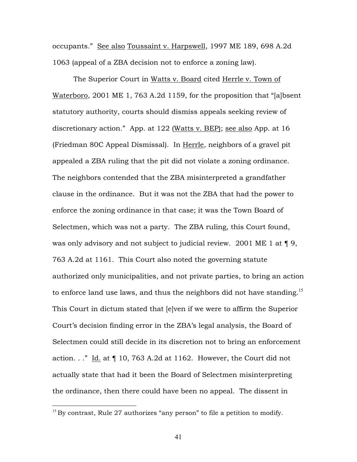occupants." See also Toussaint v. Harpswell, 1997 ME 189, 698 A.2d 1063 (appeal of a ZBA decision not to enforce a zoning law).

The Superior Court in Watts v. Board cited Herrle v. Town of Waterboro, 2001 ME 1, 763 A.2d 1159, for the proposition that "[a]bsent statutory authority, courts should dismiss appeals seeking review of discretionary action." App. at 122 (Watts v. BEP); see also App. at 16 (Friedman 80C Appeal Dismissal). In Herrle, neighbors of a gravel pit appealed a ZBA ruling that the pit did not violate a zoning ordinance. The neighbors contended that the ZBA misinterpreted a grandfather clause in the ordinance. But it was not the ZBA that had the power to enforce the zoning ordinance in that case; it was the Town Board of Selectmen, which was not a party. The ZBA ruling, this Court found, was only advisory and not subject to judicial review. 2001 ME 1 at  $\P$  9, 763 A.2d at 1161. This Court also noted the governing statute authorized only municipalities, and not private parties, to bring an action to enforce land use laws, and thus the neighbors did not have standing.<sup>15</sup> This Court in dictum stated that [e]ven if we were to affirm the Superior Court's decision finding error in the ZBA's legal analysis, the Board of Selectmen could still decide in its discretion not to bring an enforcement action. . ." Id. at ¶ 10, 763 A.2d at 1162. However, the Court did not actually state that had it been the Board of Selectmen misinterpreting the ordinance, then there could have been no appeal. The dissent in

 $15$  By contrast, Rule 27 authorizes "any person" to file a petition to modify.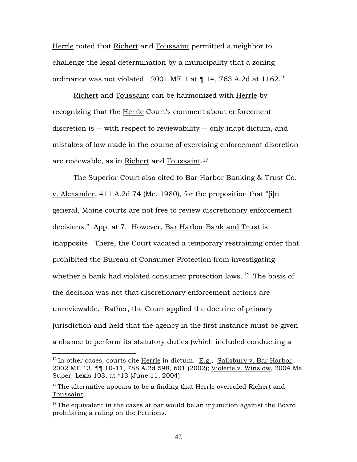Herrle noted that Richert and Toussaint permitted a neighbor to challenge the legal determination by a municipality that a zoning ordinance was not violated. 2001 ME 1 at  $\P$  14, 763 A.2d at 1162.<sup>16</sup>

Richert and Toussaint can be harmonized with Herrle by recognizing that the Herrle Court's comment about enforcement discretion is -- with respect to reviewability -- only inapt dictum, and mistakes of law made in the course of exercising enforcement discretion are reviewable, as in Richert and Toussaint.<sup>17</sup>

The Superior Court also cited to Bar Harbor Banking & Trust Co. v. Alexander, 411 A.2d 74 (Me. 1980), for the proposition that "[i]n general, Maine courts are not free to review discretionary enforcement decisions." App. at 7. However, Bar Harbor Bank and Trust is inapposite. There, the Court vacated a temporary restraining order that prohibited the Bureau of Consumer Protection from investigating whether a bank had violated consumer protection laws.  $18$  The basis of the decision was not that discretionary enforcement actions are unreviewable. Rather, the Court applied the doctrine of primary jurisdiction and held that the agency in the first instance must be given a chance to perform its statutory duties (which included conducting a

<sup>&</sup>lt;sup>16</sup> In other cases, courts cite Herrle in dictum. E.g., Salisbury v. Bar Harbor, 2002 ME 13, ¶¶ 10-11, 788 A.2d 598, 601 (2002); Violette v. Winslow, 2004 Me. Super. Lexis 103, at \*13 (June 11, 2004).

 $17$  The alternative appears to be a finding that Herrle overruled Richert and Toussaint.

 $18$  The equivalent in the cases at bar would be an injunction against the Board prohibiting a ruling on the Petitions.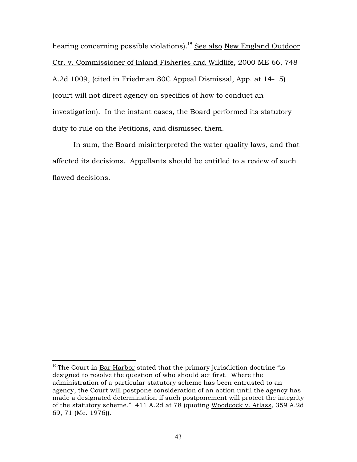hearing concerning possible violations).<sup>19</sup> See also New England Outdoor Ctr. v. Commissioner of Inland Fisheries and Wildlife, 2000 ME 66, 748 A.2d 1009, (cited in Friedman 80C Appeal Dismissal, App. at 14-15) (court will not direct agency on specifics of how to conduct an investigation). In the instant cases, the Board performed its statutory duty to rule on the Petitions, and dismissed them.

In sum, the Board misinterpreted the water quality laws, and that affected its decisions. Appellants should be entitled to a review of such flawed decisions.

 $19$ <sup>19</sup> The Court in Bar Harbor stated that the primary jurisdiction doctrine "is designed to resolve the question of who should act first. Where the administration of a particular statutory scheme has been entrusted to an agency, the Court will postpone consideration of an action until the agency has made a designated determination if such postponement will protect the integrity of the statutory scheme." 411 A.2d at 78 (quoting Woodcock v. Atlass, 359 A.2d 69, 71 (Me. 1976)).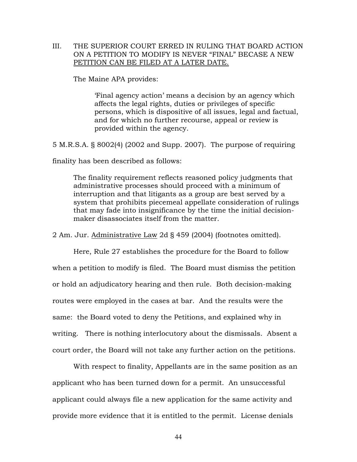## III. THE SUPERIOR COURT ERRED IN RULING THAT BOARD ACTION ON A PETITION TO MODIFY IS NEVER "FINAL" BECASE A NEW PETITION CAN BE FILED AT A LATER DATE.

The Maine APA provides:

'Final agency action' means a decision by an agency which affects the legal rights, duties or privileges of specific persons, which is dispositive of all issues, legal and factual, and for which no further recourse, appeal or review is provided within the agency.

5 M.R.S.A. § 8002(4) (2002 and Supp. 2007). The purpose of requiring

finality has been described as follows:

The finality requirement reflects reasoned policy judgments that administrative processes should proceed with a minimum of interruption and that litigants as a group are best served by a system that prohibits piecemeal appellate consideration of rulings that may fade into insignificance by the time the initial decisionmaker disassociates itself from the matter.

2 Am. Jur. Administrative Law 2d § 459 (2004) (footnotes omitted).

Here, Rule 27 establishes the procedure for the Board to follow when a petition to modify is filed. The Board must dismiss the petition or hold an adjudicatory hearing and then rule. Both decision-making routes were employed in the cases at bar. And the results were the same: the Board voted to deny the Petitions, and explained why in writing. There is nothing interlocutory about the dismissals. Absent a court order, the Board will not take any further action on the petitions.

With respect to finality, Appellants are in the same position as an applicant who has been turned down for a permit. An unsuccessful applicant could always file a new application for the same activity and provide more evidence that it is entitled to the permit. License denials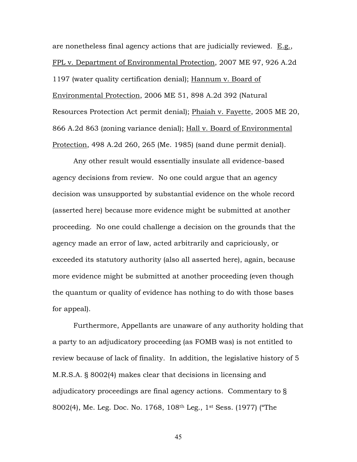are nonetheless final agency actions that are judicially reviewed. E.g., FPL v. Department of Environmental Protection, 2007 ME 97, 926 A.2d 1197 (water quality certification denial); Hannum v. Board of Environmental Protection, 2006 ME 51, 898 A.2d 392 (Natural Resources Protection Act permit denial); Phaiah v. Fayette, 2005 ME 20, 866 A.2d 863 (zoning variance denial); Hall v. Board of Environmental Protection, 498 A.2d 260, 265 (Me. 1985) (sand dune permit denial).

Any other result would essentially insulate all evidence-based agency decisions from review. No one could argue that an agency decision was unsupported by substantial evidence on the whole record (asserted here) because more evidence might be submitted at another proceeding. No one could challenge a decision on the grounds that the agency made an error of law, acted arbitrarily and capriciously, or exceeded its statutory authority (also all asserted here), again, because more evidence might be submitted at another proceeding (even though the quantum or quality of evidence has nothing to do with those bases for appeal).

Furthermore, Appellants are unaware of any authority holding that a party to an adjudicatory proceeding (as FOMB was) is not entitled to review because of lack of finality. In addition, the legislative history of 5 M.R.S.A. § 8002(4) makes clear that decisions in licensing and adjudicatory proceedings are final agency actions. Commentary to § 8002(4), Me. Leg. Doc. No. 1768, 108th Leg., 1st Sess. (1977) ("The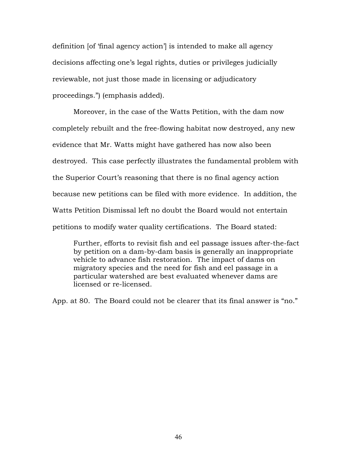definition [of 'final agency action'] is intended to make all agency decisions affecting one's legal rights, duties or privileges judicially reviewable, not just those made in licensing or adjudicatory proceedings.") (emphasis added).

Moreover, in the case of the Watts Petition, with the dam now completely rebuilt and the free-flowing habitat now destroyed, any new evidence that Mr. Watts might have gathered has now also been destroyed. This case perfectly illustrates the fundamental problem with the Superior Court's reasoning that there is no final agency action because new petitions can be filed with more evidence. In addition, the Watts Petition Dismissal left no doubt the Board would not entertain petitions to modify water quality certifications. The Board stated:

Further, efforts to revisit fish and eel passage issues after-the-fact by petition on a dam-by-dam basis is generally an inappropriate vehicle to advance fish restoration. The impact of dams on migratory species and the need for fish and eel passage in a particular watershed are best evaluated whenever dams are licensed or re-licensed.

App. at 80. The Board could not be clearer that its final answer is "no."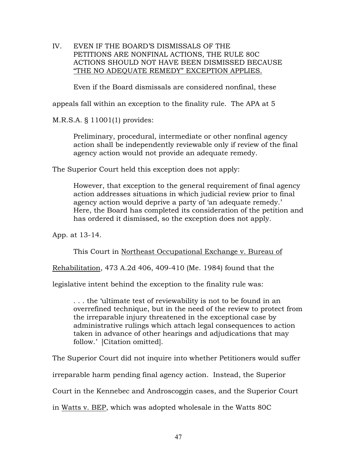IV. EVEN IF THE BOARD'S DISMISSALS OF THE PETITIONS ARE NONFINAL ACTIONS, THE RULE 80C ACTIONS SHOULD NOT HAVE BEEN DISMISSED BECAUSE "THE NO ADEQUATE REMEDY" EXCEPTION APPLIES.

Even if the Board dismissals are considered nonfinal, these

appeals fall within an exception to the finality rule. The APA at 5

M.R.S.A. § 11001(1) provides:

Preliminary, procedural, intermediate or other nonfinal agency action shall be independently reviewable only if review of the final agency action would not provide an adequate remedy.

The Superior Court held this exception does not apply:

However, that exception to the general requirement of final agency action addresses situations in which judicial review prior to final agency action would deprive a party of 'an adequate remedy.' Here, the Board has completed its consideration of the petition and has ordered it dismissed, so the exception does not apply.

App. at 13-14.

This Court in Northeast Occupational Exchange v. Bureau of

Rehabilitation, 473 A.2d 406, 409-410 (Me. 1984) found that the

legislative intent behind the exception to the finality rule was:

. . . the 'ultimate test of reviewability is not to be found in an overrefined technique, but in the need of the review to protect from the irreparable injury threatened in the exceptional case by administrative rulings which attach legal consequences to action taken in advance of other hearings and adjudications that may follow.' [Citation omitted].

The Superior Court did not inquire into whether Petitioners would suffer

irreparable harm pending final agency action. Instead, the Superior

Court in the Kennebec and Androscoggin cases, and the Superior Court

in Watts v. BEP, which was adopted wholesale in the Watts 80C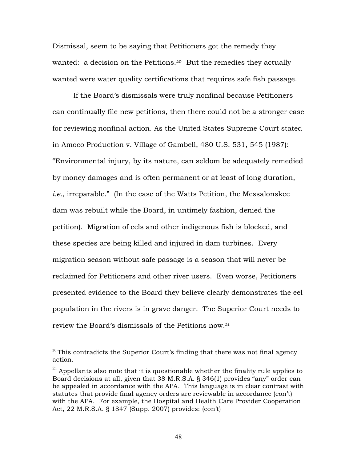Dismissal, seem to be saying that Petitioners got the remedy they wanted: a decision on the Petitions.<sup>20</sup> But the remedies they actually wanted were water quality certifications that requires safe fish passage.

If the Board's dismissals were truly nonfinal because Petitioners can continually file new petitions, then there could not be a stronger case for reviewing nonfinal action. As the United States Supreme Court stated in Amoco Production v. Village of Gambell, 480 U.S. 531, 545 (1987): "Environmental injury, by its nature, can seldom be adequately remedied by money damages and is often permanent or at least of long duration, *i.e.*, irreparable." (In the case of the Watts Petition, the Messalonskee dam was rebuilt while the Board, in untimely fashion, denied the petition). Migration of eels and other indigenous fish is blocked, and these species are being killed and injured in dam turbines. Every migration season without safe passage is a season that will never be reclaimed for Petitioners and other river users. Even worse, Petitioners presented evidence to the Board they believe clearly demonstrates the eel population in the rivers is in grave danger. The Superior Court needs to review the Board's dismissals of the Petitions now.<sup>21</sup>

 $20$  This contradicts the Superior Court's finding that there was not final agency action.

 $2<sup>1</sup>$  Appellants also note that it is questionable whether the finality rule applies to Board decisions at all, given that 38 M.R.S.A. § 346(1) provides "any" order can be appealed in accordance with the APA. This language is in clear contrast with statutes that provide final agency orders are reviewable in accordance (con't) with the APA. For example, the Hospital and Health Care Provider Cooperation Act, 22 M.R.S.A. § 1847 (Supp. 2007) provides: (con't)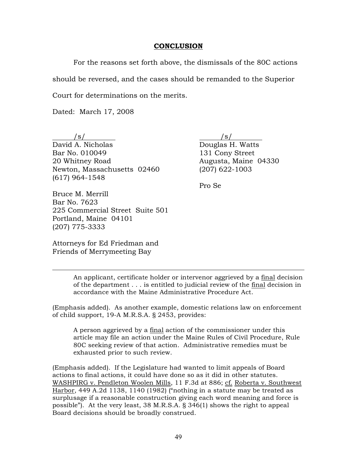#### **CONCLUSION**

For the reasons set forth above, the dismissals of the 80C actions should be reversed, and the cases should be remanded to the Superior

Court for determinations on the merits.

Dated: March 17, 2008

 $/s/$ David A. Nicholas Douglas H. Watts Bar No. 010049 131 Cony Street 20 Whitney Road **Augusta, Maine 04330** Newton, Massachusetts 02460 (207) 622-1003 (617) 964-1548

Pro Se

Bruce M. Merrill Bar No. 7623 225 Commercial Street Suite 501 Portland, Maine 04101 (207) 775-3333

Attorneys for Ed Friedman and Friends of Merrymeeting Bay

 $\overline{a}$ 

An applicant, certificate holder or intervenor aggrieved by a final decision of the department . . . is entitled to judicial review of the final decision in accordance with the Maine Administrative Procedure Act.

(Emphasis added). As another example, domestic relations law on enforcement of child support, 19-A M.R.S.A. § 2453, provides:

A person aggrieved by a final action of the commissioner under this article may file an action under the Maine Rules of Civil Procedure, Rule 80C seeking review of that action. Administrative remedies must be exhausted prior to such review.

(Emphasis added). If the Legislature had wanted to limit appeals of Board actions to final actions, it could have done so as it did in other statutes. WASHPIRG v. Pendleton Woolen Mills, 11 F.3d at 886; cf. Roberta v. Southwest Harbor, 449 A.2d 1138, 1140 (1982) ("nothing in a statute may be treated as surplusage if a reasonable construction giving each word meaning and force is possible"). At the very least, 38 M.R.S.A. § 346(1) shows the right to appeal Board decisions should be broadly construed.